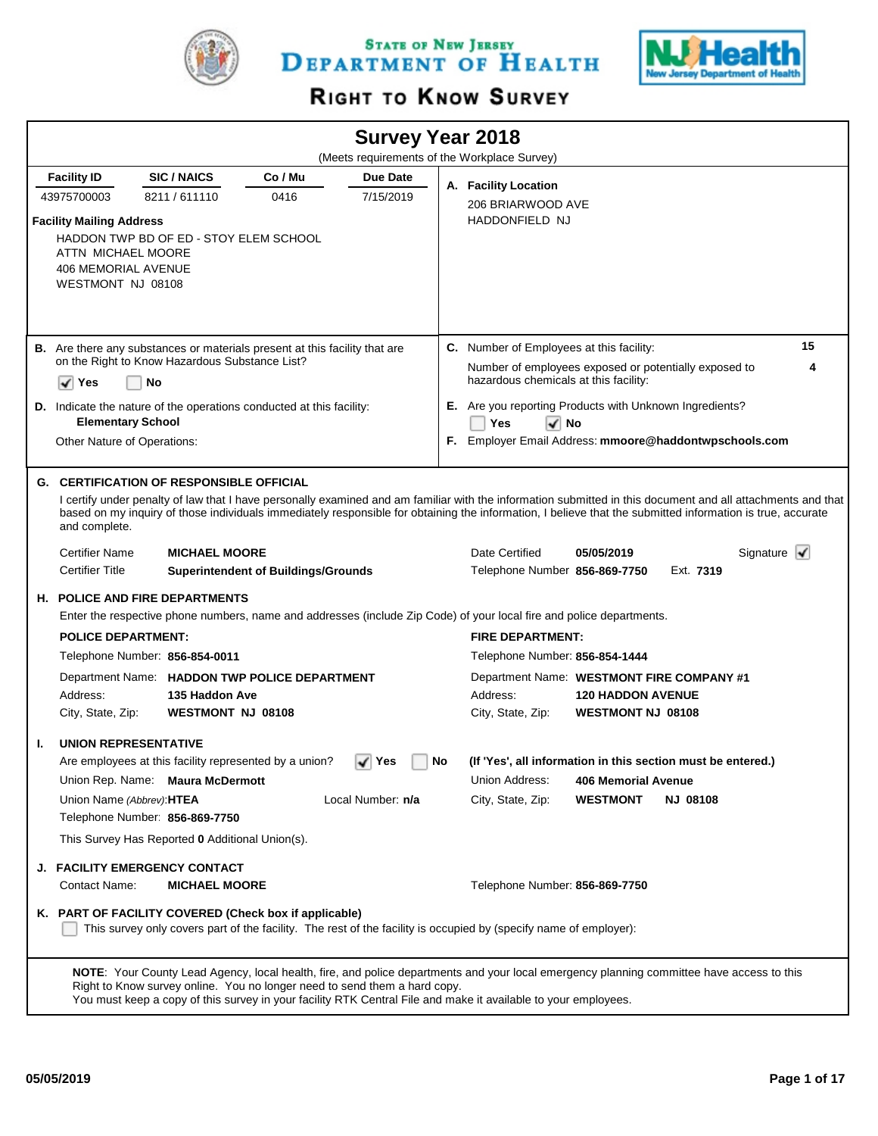

STATE OF NEW JERSEY DEPARTMENT OF HEALTH



# RIGHT TO KNOW SURVEY

|                                                                                                          |                                                                                      |                                            |                   |    | <b>Survey Year 2018</b><br>(Meets requirements of the Workplace Survey)                                                                                                                                                                                     |                                                      |                 |                                                                                                                                                             |
|----------------------------------------------------------------------------------------------------------|--------------------------------------------------------------------------------------|--------------------------------------------|-------------------|----|-------------------------------------------------------------------------------------------------------------------------------------------------------------------------------------------------------------------------------------------------------------|------------------------------------------------------|-----------------|-------------------------------------------------------------------------------------------------------------------------------------------------------------|
| <b>Facility ID</b>                                                                                       | <b>SIC/NAICS</b>                                                                     | Co / Mu                                    | Due Date          |    |                                                                                                                                                                                                                                                             |                                                      |                 |                                                                                                                                                             |
| 43975700003                                                                                              | 8211/611110                                                                          | 0416                                       | 7/15/2019         |    | A. Facility Location<br>206 BRIARWOOD AVE                                                                                                                                                                                                                   |                                                      |                 |                                                                                                                                                             |
| <b>Facility Mailing Address</b><br>ATTN MICHAEL MOORE<br><b>406 MEMORIAL AVENUE</b><br>WESTMONT NJ 08108 | HADDON TWP BD OF ED - STOY ELEM SCHOOL                                               |                                            |                   |    | <b>HADDONFIELD NJ</b>                                                                                                                                                                                                                                       |                                                      |                 |                                                                                                                                                             |
|                                                                                                          | <b>B.</b> Are there any substances or materials present at this facility that are    |                                            |                   |    | <b>C.</b> Number of Employees at this facility:                                                                                                                                                                                                             |                                                      |                 | 15                                                                                                                                                          |
| ✓<br>Yes                                                                                                 | on the Right to Know Hazardous Substance List?<br>No                                 |                                            |                   |    | Number of employees exposed or potentially exposed to<br>hazardous chemicals at this facility:                                                                                                                                                              |                                                      |                 | 4                                                                                                                                                           |
| <b>Elementary School</b>                                                                                 | D. Indicate the nature of the operations conducted at this facility:                 |                                            |                   |    | E. Are you reporting Products with Unknown Ingredients?<br>Yes<br>l√ No                                                                                                                                                                                     |                                                      |                 |                                                                                                                                                             |
| Other Nature of Operations:                                                                              |                                                                                      |                                            |                   |    | F. Employer Email Address: mmoore@haddontwpschools.com                                                                                                                                                                                                      |                                                      |                 |                                                                                                                                                             |
| and complete.                                                                                            | <b>G. CERTIFICATION OF RESPONSIBLE OFFICIAL</b>                                      |                                            |                   |    | based on my inquiry of those individuals immediately responsible for obtaining the information, I believe that the submitted information is true, accurate                                                                                                  |                                                      |                 | I certify under penalty of law that I have personally examined and am familiar with the information submitted in this document and all attachments and that |
| <b>Certifier Name</b>                                                                                    | <b>MICHAEL MOORE</b>                                                                 |                                            |                   |    | Date Certified                                                                                                                                                                                                                                              | 05/05/2019                                           |                 | Signature $\mathbf{\sqrt{}}$                                                                                                                                |
| <b>Certifier Title</b>                                                                                   |                                                                                      | <b>Superintendent of Buildings/Grounds</b> |                   |    | Telephone Number 856-869-7750                                                                                                                                                                                                                               |                                                      | Ext. 7319       |                                                                                                                                                             |
|                                                                                                          | <b>H. POLICE AND FIRE DEPARTMENTS</b>                                                |                                            |                   |    |                                                                                                                                                                                                                                                             |                                                      |                 |                                                                                                                                                             |
|                                                                                                          |                                                                                      |                                            |                   |    | Enter the respective phone numbers, name and addresses (include Zip Code) of your local fire and police departments.                                                                                                                                        |                                                      |                 |                                                                                                                                                             |
| <b>POLICE DEPARTMENT:</b>                                                                                |                                                                                      |                                            |                   |    | <b>FIRE DEPARTMENT:</b>                                                                                                                                                                                                                                     |                                                      |                 |                                                                                                                                                             |
|                                                                                                          | Telephone Number: 856-854-0011                                                       |                                            |                   |    | Telephone Number: 856-854-1444                                                                                                                                                                                                                              |                                                      |                 |                                                                                                                                                             |
| Address:<br>City, State, Zip:                                                                            | Department Name: HADDON TWP POLICE DEPARTMENT<br>135 Haddon Ave<br>WESTMONT NJ 08108 |                                            |                   |    | Department Name: WESTMONT FIRE COMPANY #1<br>Address:<br>City, State, Zip:                                                                                                                                                                                  | <b>120 HADDON AVENUE</b><br><b>WESTMONT NJ 08108</b> |                 |                                                                                                                                                             |
| <b>UNION REPRESENTATIVE</b><br>Т.                                                                        |                                                                                      |                                            |                   |    |                                                                                                                                                                                                                                                             |                                                      |                 |                                                                                                                                                             |
|                                                                                                          | Are employees at this facility represented by a union?                               |                                            | ∣ Yes             | No | (If 'Yes', all information in this section must be entered.)                                                                                                                                                                                                |                                                      |                 |                                                                                                                                                             |
|                                                                                                          | Union Rep. Name: Maura McDermott                                                     |                                            |                   |    | Union Address:                                                                                                                                                                                                                                              | <b>406 Memorial Avenue</b>                           |                 |                                                                                                                                                             |
| Union Name (Abbrev): HTEA                                                                                | Telephone Number: 856-869-7750                                                       |                                            | Local Number: n/a |    | City, State, Zip:                                                                                                                                                                                                                                           | <b>WESTMONT</b>                                      | <b>NJ 08108</b> |                                                                                                                                                             |
|                                                                                                          | This Survey Has Reported 0 Additional Union(s).                                      |                                            |                   |    |                                                                                                                                                                                                                                                             |                                                      |                 |                                                                                                                                                             |
|                                                                                                          | <b>J. FACILITY EMERGENCY CONTACT</b>                                                 |                                            |                   |    |                                                                                                                                                                                                                                                             |                                                      |                 |                                                                                                                                                             |
| Contact Name:                                                                                            | <b>MICHAEL MOORE</b>                                                                 |                                            |                   |    | Telephone Number: 856-869-7750                                                                                                                                                                                                                              |                                                      |                 |                                                                                                                                                             |
|                                                                                                          | K. PART OF FACILITY COVERED (Check box if applicable)                                |                                            |                   |    | This survey only covers part of the facility. The rest of the facility is occupied by (specify name of employer):                                                                                                                                           |                                                      |                 |                                                                                                                                                             |
|                                                                                                          | Right to Know survey online. You no longer need to send them a hard copy.            |                                            |                   |    | NOTE: Your County Lead Agency, local health, fire, and police departments and your local emergency planning committee have access to this<br>You must keep a copy of this survey in your facility RTK Central File and make it available to your employees. |                                                      |                 |                                                                                                                                                             |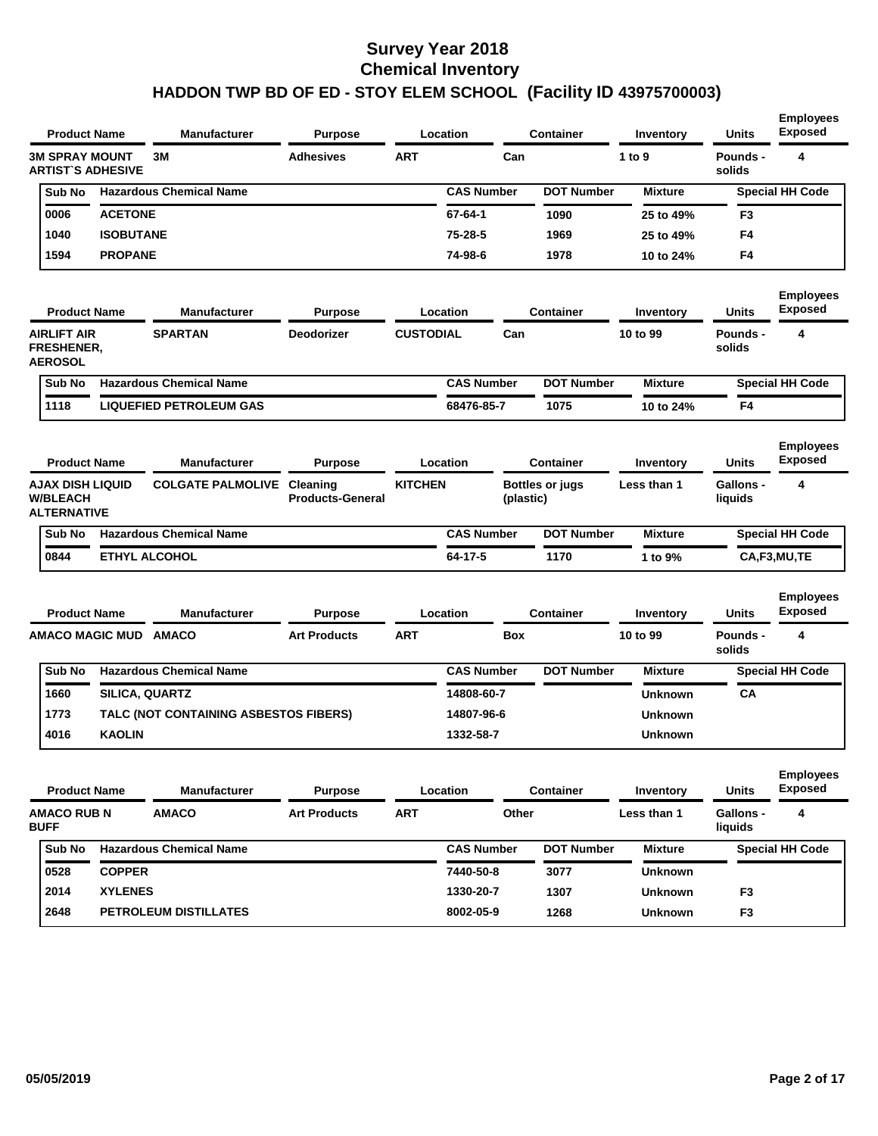|                                                           | <b>Product Name</b>      | <b>Manufacturer</b>                   | <b>Purpose</b>                      |                  | Location          |            | <b>Container</b>  | <b>Inventory</b> | <b>Units</b>                | <b>Employees</b><br><b>Exposed</b> |
|-----------------------------------------------------------|--------------------------|---------------------------------------|-------------------------------------|------------------|-------------------|------------|-------------------|------------------|-----------------------------|------------------------------------|
| <b>3M SPRAY MOUNT</b>                                     | <b>ARTIST'S ADHESIVE</b> | ЗM                                    | <b>Adhesives</b>                    | <b>ART</b>       |                   | Can        |                   | 1 to 9           | Pounds -<br>solids          | 4                                  |
| Sub No                                                    |                          | <b>Hazardous Chemical Name</b>        |                                     |                  | <b>CAS Number</b> |            | <b>DOT Number</b> | <b>Mixture</b>   |                             | <b>Special HH Code</b>             |
| 0006                                                      | <b>ACETONE</b>           |                                       |                                     |                  | 67-64-1           |            | 1090              | 25 to 49%        | F3                          |                                    |
| 1040                                                      | <b>ISOBUTANE</b>         |                                       |                                     |                  | 75-28-5           |            | 1969              | 25 to 49%        | F4                          |                                    |
| 1594                                                      | <b>PROPANE</b>           |                                       |                                     |                  | 74-98-6           |            | 1978              | 10 to 24%        | F4                          |                                    |
|                                                           | <b>Product Name</b>      | <b>Manufacturer</b>                   | <b>Purpose</b>                      |                  | Location          |            | <b>Container</b>  | Inventory        | <b>Units</b>                | <b>Employees</b><br><b>Exposed</b> |
| AIRLIFT AIR<br><b>FRESHENER.</b><br><b>AEROSOL</b>        |                          | <b>SPARTAN</b>                        | <b>Deodorizer</b>                   | <b>CUSTODIAL</b> |                   | Can        |                   | 10 to 99         | Pounds -<br>solids          | 4                                  |
| Sub No                                                    |                          | <b>Hazardous Chemical Name</b>        |                                     |                  | <b>CAS Number</b> |            | <b>DOT Number</b> | <b>Mixture</b>   |                             | <b>Special HH Code</b>             |
| 1118                                                      |                          | <b>LIQUEFIED PETROLEUM GAS</b>        |                                     |                  | 68476-85-7        |            | 1075              | 10 to 24%        | F4                          |                                    |
|                                                           | <b>Product Name</b>      | <b>Manufacturer</b>                   | <b>Purpose</b>                      |                  | Location          |            | <b>Container</b>  | Inventory        | <b>Units</b>                | <b>Employees</b><br><b>Exposed</b> |
| AJAX DISH LIQUID<br><b>W/BLEACH</b><br><b>ALTERNATIVE</b> |                          | <b>COLGATE PALMOLIVE</b>              | Cleaning<br><b>Products-General</b> | <b>KITCHEN</b>   |                   | (plastic)  | Bottles or jugs   | Less than 1      | <b>Gallons -</b><br>liquids | 4                                  |
| Sub No                                                    |                          | <b>Hazardous Chemical Name</b>        |                                     |                  | <b>CAS Number</b> |            | <b>DOT Number</b> | <b>Mixture</b>   |                             | <b>Special HH Code</b>             |
| 0844                                                      |                          | <b>ETHYL ALCOHOL</b>                  |                                     |                  | 64-17-5           |            | 1170              | 1 to 9%          |                             | CA,F3,MU,TE                        |
|                                                           | <b>Product Name</b>      | <b>Manufacturer</b>                   | <b>Purpose</b>                      |                  | Location          |            | <b>Container</b>  | Inventory        | <b>Units</b>                | <b>Employees</b><br><b>Exposed</b> |
|                                                           | AMACO MAGIC MUD AMACO    |                                       | <b>Art Products</b>                 | <b>ART</b>       |                   | <b>Box</b> |                   | 10 to 99         | Pounds -<br>solids          | 4                                  |
| Sub No                                                    |                          | <b>Hazardous Chemical Name</b>        |                                     |                  | <b>CAS Number</b> |            | <b>DOT Number</b> | <b>Mixture</b>   |                             | <b>Special HH Code</b>             |
| 1660                                                      |                          | SILICA, QUARTZ                        |                                     |                  | 14808-60-7        |            |                   | <b>Unknown</b>   | CA                          |                                    |
| 1773                                                      |                          | TALC (NOT CONTAINING ASBESTOS FIBERS) |                                     |                  | 14807-96-6        |            |                   | <b>Unknown</b>   |                             |                                    |
| 4016                                                      | <b>KAOLIN</b>            |                                       |                                     |                  | 1332-58-7         |            |                   | <b>Unknown</b>   |                             |                                    |
|                                                           | <b>Product Name</b>      | <b>Manufacturer</b>                   | <b>Purpose</b>                      |                  | Location          |            | <b>Container</b>  | Inventory        | <b>Units</b>                | <b>Employees</b><br><b>Exposed</b> |
| <b>AMACO RUB N</b><br><b>BUFF</b>                         |                          | <b>AMACO</b>                          | <b>Art Products</b>                 | <b>ART</b>       |                   | Other      |                   | Less than 1      | Gallons -<br>liquids        | 4                                  |
| Sub No                                                    |                          | <b>Hazardous Chemical Name</b>        |                                     |                  | <b>CAS Number</b> |            | <b>DOT Number</b> | <b>Mixture</b>   |                             | <b>Special HH Code</b>             |
| 0528                                                      | <b>COPPER</b>            |                                       |                                     |                  | 7440-50-8         |            | 3077              | <b>Unknown</b>   |                             |                                    |
| 2014                                                      |                          |                                       |                                     |                  |                   |            |                   |                  |                             |                                    |
|                                                           | <b>XYLENES</b>           |                                       |                                     |                  | 1330-20-7         |            | 1307              | <b>Unknown</b>   | F <sub>3</sub>              |                                    |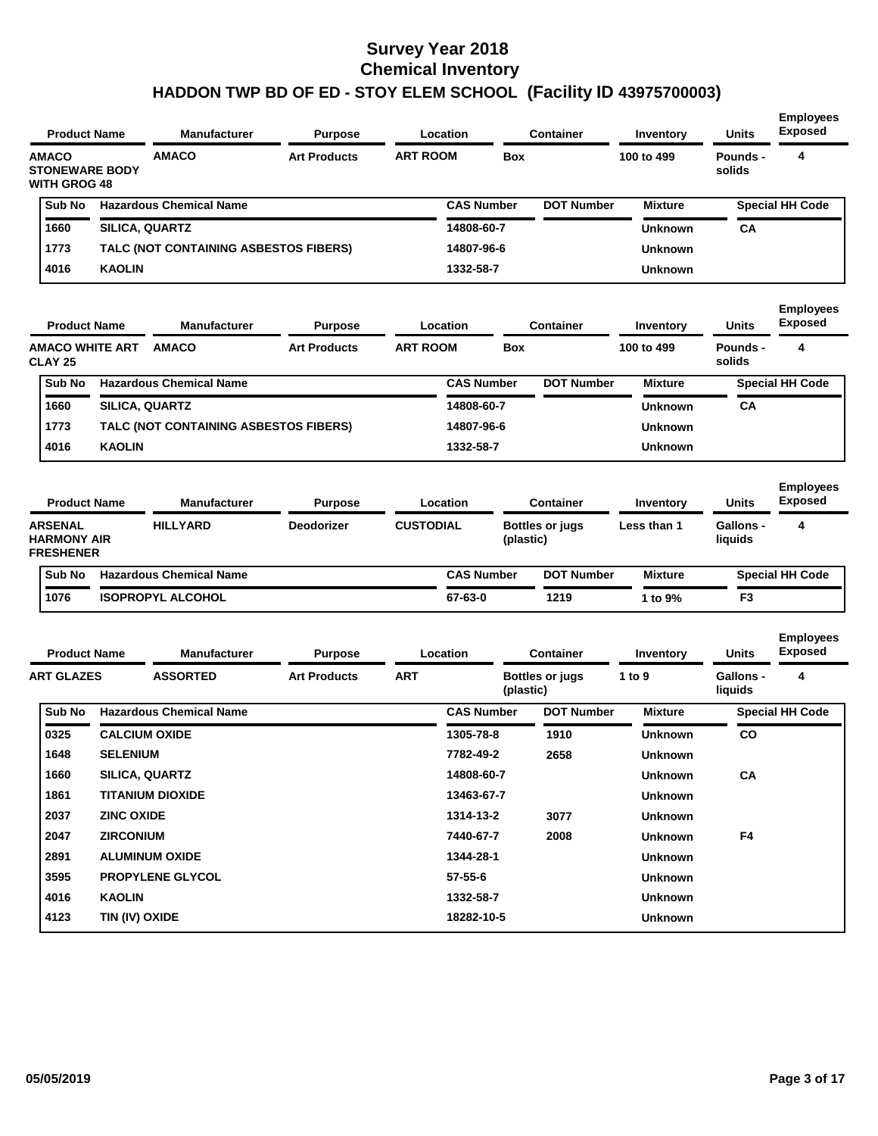| <b>Product Name</b>                                          |                   | <b>Manufacturer</b>                   | <b>Purpose</b>      | Location         |                   |            | <b>Container</b>  | Inventory      | Units                       | <b>Employees</b><br><b>Exposed</b> |
|--------------------------------------------------------------|-------------------|---------------------------------------|---------------------|------------------|-------------------|------------|-------------------|----------------|-----------------------------|------------------------------------|
| <b>AMACO</b><br><b>STONEWARE BODY</b><br><b>WITH GROG 48</b> |                   | <b>AMACO</b>                          | <b>Art Products</b> | <b>ART ROOM</b>  |                   | Box        |                   | 100 to 499     | Pounds -<br>solids          | 4                                  |
| Sub No                                                       |                   | <b>Hazardous Chemical Name</b>        |                     |                  | <b>CAS Number</b> |            | <b>DOT Number</b> | <b>Mixture</b> |                             | <b>Special HH Code</b>             |
| 1660                                                         |                   | SILICA, QUARTZ                        |                     |                  | 14808-60-7        |            |                   | <b>Unknown</b> | CА                          |                                    |
| 1773                                                         |                   | TALC (NOT CONTAINING ASBESTOS FIBERS) |                     |                  | 14807-96-6        |            |                   | <b>Unknown</b> |                             |                                    |
| 4016                                                         | <b>KAOLIN</b>     |                                       |                     |                  | 1332-58-7         |            |                   | <b>Unknown</b> |                             |                                    |
| <b>Product Name</b>                                          |                   | <b>Manufacturer</b>                   | <b>Purpose</b>      | Location         |                   |            | <b>Container</b>  | Inventory      | <b>Units</b>                | <b>Employees</b><br><b>Exposed</b> |
| <b>AMACO WHITE ART</b><br><b>CLAY 25</b>                     |                   | <b>AMACO</b>                          | <b>Art Products</b> | <b>ART ROOM</b>  |                   | <b>Box</b> |                   | 100 to 499     | Pounds -<br>solids          | 4                                  |
| Sub No                                                       |                   | <b>Hazardous Chemical Name</b>        |                     |                  | <b>CAS Number</b> |            | <b>DOT Number</b> | <b>Mixture</b> |                             | <b>Special HH Code</b>             |
| 1660                                                         |                   | SILICA, QUARTZ                        |                     |                  | 14808-60-7        |            |                   | <b>Unknown</b> | CA                          |                                    |
| 1773                                                         |                   | TALC (NOT CONTAINING ASBESTOS FIBERS) |                     |                  | 14807-96-6        |            |                   | <b>Unknown</b> |                             |                                    |
| 4016                                                         | <b>KAOLIN</b>     |                                       |                     |                  | 1332-58-7         |            |                   | <b>Unknown</b> |                             |                                    |
| <b>Product Name</b>                                          |                   | <b>Manufacturer</b>                   | <b>Purpose</b>      | Location         |                   |            | <b>Container</b>  | Inventory      | Units                       | <b>Employees</b><br><b>Exposed</b> |
| <b>ARSENAL</b><br><b>HARMONY AIR</b><br><b>FRESHENER</b>     |                   | <b>HILLYARD</b>                       | <b>Deodorizer</b>   | <b>CUSTODIAL</b> |                   | (plastic)  | Bottles or jugs   | Less than 1    | <b>Gallons -</b><br>liquids | 4                                  |
| Sub No                                                       |                   | <b>Hazardous Chemical Name</b>        |                     |                  | <b>CAS Number</b> |            | <b>DOT Number</b> | <b>Mixture</b> |                             | <b>Special HH Code</b>             |
| 1076                                                         |                   | <b>ISOPROPYL ALCOHOL</b>              |                     |                  | 67-63-0           |            | 1219              | 1 to 9%        | F <sub>3</sub>              |                                    |
| <b>Product Name</b>                                          |                   | <b>Manufacturer</b>                   | <b>Purpose</b>      | Location         |                   |            | <b>Container</b>  | Inventory      | Units                       | <b>Employees</b><br><b>Exposed</b> |
| <b>ART GLAZES</b>                                            |                   | <b>ASSORTED</b>                       | <b>Art Products</b> | ART              |                   | (plastic)  | Bottles or jugs   | 1 to 9         | Gallons -<br>liquids        | 4                                  |
| Sub No                                                       |                   | <b>Hazardous Chemical Name</b>        |                     |                  | <b>CAS Number</b> |            | <b>DOT Number</b> | <b>Mixture</b> |                             | <b>Special HH Code</b>             |
| 0325                                                         |                   | <b>CALCIUM OXIDE</b>                  |                     |                  | 1305-78-8         |            | 1910              | <b>Unknown</b> | CO                          |                                    |
| 1648                                                         | <b>SELENIUM</b>   |                                       |                     |                  | 7782-49-2         |            | 2658              | Unknown        |                             |                                    |
| 1660                                                         |                   | SILICA, QUARTZ                        |                     |                  | 14808-60-7        |            |                   | <b>Unknown</b> | CA                          |                                    |
| 1861                                                         |                   | <b>TITANIUM DIOXIDE</b>               |                     |                  | 13463-67-7        |            |                   | <b>Unknown</b> |                             |                                    |
| 2037                                                         | <b>ZINC OXIDE</b> |                                       |                     |                  | 1314-13-2         |            | 3077              | <b>Unknown</b> |                             |                                    |
| 2047                                                         | <b>ZIRCONIUM</b>  |                                       |                     |                  | 7440-67-7         |            | 2008              | <b>Unknown</b> | F4                          |                                    |
| 2891                                                         |                   | <b>ALUMINUM OXIDE</b>                 |                     |                  | 1344-28-1         |            |                   | <b>Unknown</b> |                             |                                    |
| 3595                                                         |                   | <b>PROPYLENE GLYCOL</b>               |                     |                  | $57 - 55 - 6$     |            |                   | <b>Unknown</b> |                             |                                    |
| 4016                                                         | <b>KAOLIN</b>     |                                       |                     |                  | 1332-58-7         |            |                   | <b>Unknown</b> |                             |                                    |
| 4123                                                         | TIN (IV) OXIDE    |                                       |                     |                  | 18282-10-5        |            |                   | <b>Unknown</b> |                             |                                    |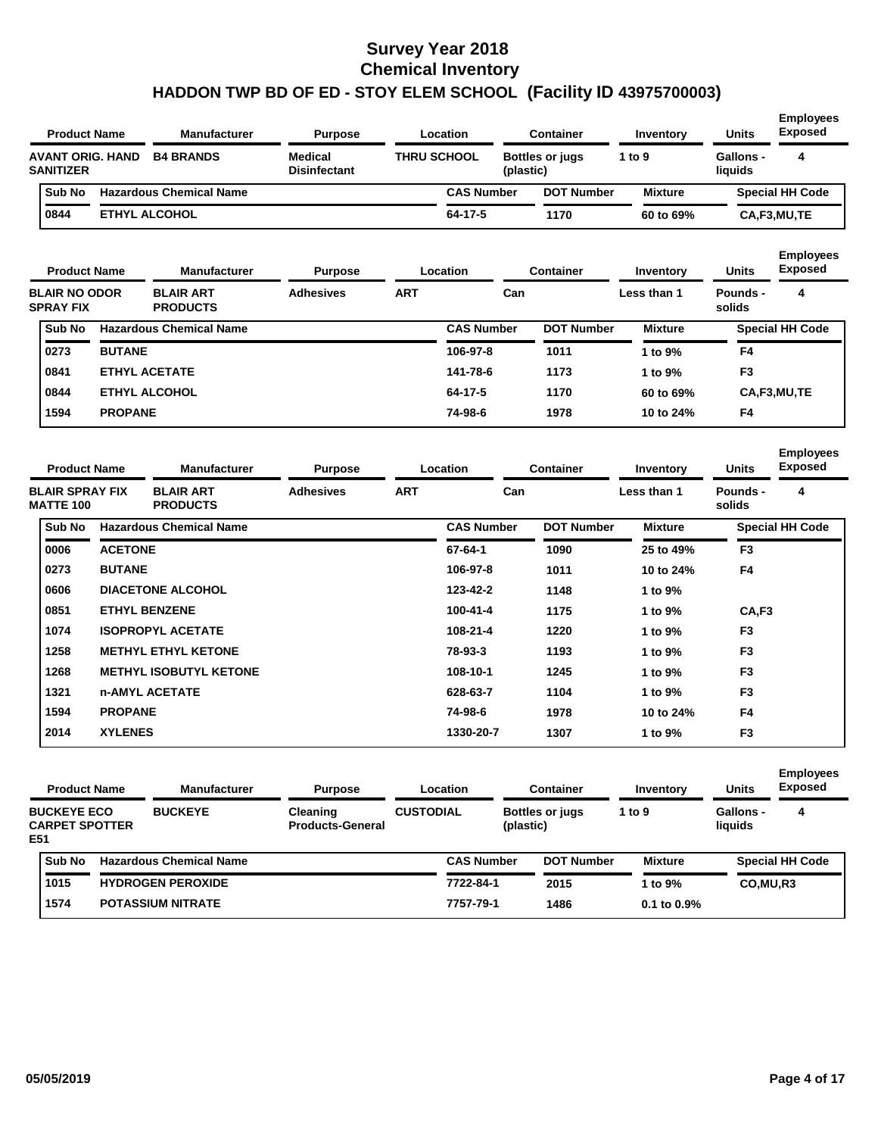| <b>Product Name</b>                         | <b>Manufacturer</b>            | <b>Purpose</b>                 |                    | Location          |           | <b>Container</b>       | Inventory      | <b>Units</b>         | <b>Employees</b><br><b>Exposed</b> |
|---------------------------------------------|--------------------------------|--------------------------------|--------------------|-------------------|-----------|------------------------|----------------|----------------------|------------------------------------|
| <b>AVANT ORIG. HAND</b><br><b>SANITIZER</b> | <b>B4 BRANDS</b>               | Medical<br><b>Disinfectant</b> | <b>THRU SCHOOL</b> |                   | (plastic) | <b>Bottles or jugs</b> | 1 to 9         | Gallons -<br>liquids | 4                                  |
| Sub No                                      | <b>Hazardous Chemical Name</b> |                                |                    | <b>CAS Number</b> |           | <b>DOT Number</b>      | <b>Mixture</b> |                      | <b>Special HH Code</b>             |
| 0844                                        | <b>ETHYL ALCOHOL</b>           |                                |                    | 64-17-5           |           | 1170                   | 60 to 69%      |                      | CA,F3,MU,TE                        |

| <b>Product Name</b>                      |                | <b>Manufacturer</b>                 | <b>Purpose</b>   |            | Location          | <b>Container</b>  | Inventory      | <b>Units</b>       | <b>Employees</b><br><b>Exposed</b> |
|------------------------------------------|----------------|-------------------------------------|------------------|------------|-------------------|-------------------|----------------|--------------------|------------------------------------|
| <b>BLAIR NO ODOR</b><br><b>SPRAY FIX</b> |                | <b>BLAIR ART</b><br><b>PRODUCTS</b> | <b>Adhesives</b> | <b>ART</b> | Can               |                   | Less than 1    | Pounds -<br>solids | 4                                  |
| Sub No                                   |                | <b>Hazardous Chemical Name</b>      |                  |            | <b>CAS Number</b> | <b>DOT Number</b> | <b>Mixture</b> |                    | <b>Special HH Code</b>             |
| 0273                                     | <b>BUTANE</b>  |                                     |                  |            | 106-97-8          | 1011              | 1 to 9%        | F4                 |                                    |
| 0841                                     |                | <b>ETHYL ACETATE</b>                |                  |            | 141-78-6          | 1173              | 1 to 9%        | F <sub>3</sub>     |                                    |
| 0844                                     |                | <b>ETHYL ALCOHOL</b>                |                  |            | 64-17-5           | 1170              | 60 to 69%      |                    | CA,F3,MU,TE                        |
| 1594                                     | <b>PROPANE</b> |                                     |                  |            | 74-98-6           | 1978              | 10 to 24%      | F <sub>4</sub>     |                                    |

| <b>Product Name</b>                        |                | <b>Manufacturer</b>                 | <b>Purpose</b>   |            | Location          | <b>Container</b>  | Inventory      | <b>Units</b>       | <b>Employees</b><br><b>Exposed</b> |
|--------------------------------------------|----------------|-------------------------------------|------------------|------------|-------------------|-------------------|----------------|--------------------|------------------------------------|
| <b>BLAIR SPRAY FIX</b><br><b>MATTE 100</b> |                | <b>BLAIR ART</b><br><b>PRODUCTS</b> | <b>Adhesives</b> | <b>ART</b> | Can               |                   | Less than 1    | Pounds -<br>solids | 4                                  |
| Sub No                                     |                | <b>Hazardous Chemical Name</b>      |                  |            | <b>CAS Number</b> | <b>DOT Number</b> | <b>Mixture</b> |                    | <b>Special HH Code</b>             |
| 0006                                       | <b>ACETONE</b> |                                     |                  |            | 67-64-1           | 1090              | 25 to 49%      | F <sub>3</sub>     |                                    |
| 0273                                       | <b>BUTANE</b>  |                                     |                  |            | 106-97-8          | 1011              | 10 to 24%      | F <sub>4</sub>     |                                    |
| 0606                                       |                | <b>DIACETONE ALCOHOL</b>            |                  |            | 123-42-2          | 1148              | 1 to 9%        |                    |                                    |
| 0851                                       |                | <b>ETHYL BENZENE</b>                |                  |            | 100-41-4          | 1175              | 1 to 9%        | CA,F3              |                                    |
| 1074                                       |                | <b>ISOPROPYL ACETATE</b>            |                  |            | 108-21-4          | 1220              | 1 to 9%        | F <sub>3</sub>     |                                    |
| 1258                                       |                | <b>METHYL ETHYL KETONE</b>          |                  |            | 78-93-3           | 1193              | 1 to 9%        | F <sub>3</sub>     |                                    |
| 1268                                       |                | <b>METHYL ISOBUTYL KETONE</b>       |                  |            | 108-10-1          | 1245              | 1 to 9%        | F <sub>3</sub>     |                                    |
| 1321                                       |                | <b>n-AMYL ACETATE</b>               |                  |            | 628-63-7          | 1104              | 1 to 9%        | F <sub>3</sub>     |                                    |
| 1594                                       | <b>PROPANE</b> |                                     |                  |            | 74-98-6           | 1978              | 10 to 24%      | F <sub>4</sub>     |                                    |
| 2014                                       | <b>XYLENES</b> |                                     |                  |            | 1330-20-7         | 1307              | 1 to 9%        | F <sub>3</sub>     |                                    |

|     | <b>Product Name</b>                         | <b>Manufacturer</b>            | <b>Purpose</b>                             |                  | Location          |           | Container              | Inventory        | <b>Units</b>         | <b>Employees</b><br><b>Exposed</b> |
|-----|---------------------------------------------|--------------------------------|--------------------------------------------|------------------|-------------------|-----------|------------------------|------------------|----------------------|------------------------------------|
| E51 | <b>BUCKEYE ECO</b><br><b>CARPET SPOTTER</b> | <b>BUCKEYE</b>                 | <b>Cleaning</b><br><b>Products-General</b> | <b>CUSTODIAL</b> |                   | (plastic) | <b>Bottles or jugs</b> | 1 to $9$         | Gallons -<br>liquids | 4                                  |
|     | Sub No                                      | <b>Hazardous Chemical Name</b> |                                            |                  | <b>CAS Number</b> |           | <b>DOT Number</b>      | <b>Mixture</b>   |                      | <b>Special HH Code</b>             |
|     | 1015                                        | <b>HYDROGEN PEROXIDE</b>       |                                            |                  | 7722-84-1         |           | 2015                   | 1 to 9%          | CO.MU.R3             |                                    |
|     | 1574                                        | <b>POTASSIUM NITRATE</b>       |                                            |                  | 7757-79-1         |           | 1486                   | $0.1$ to $0.9\%$ |                      |                                    |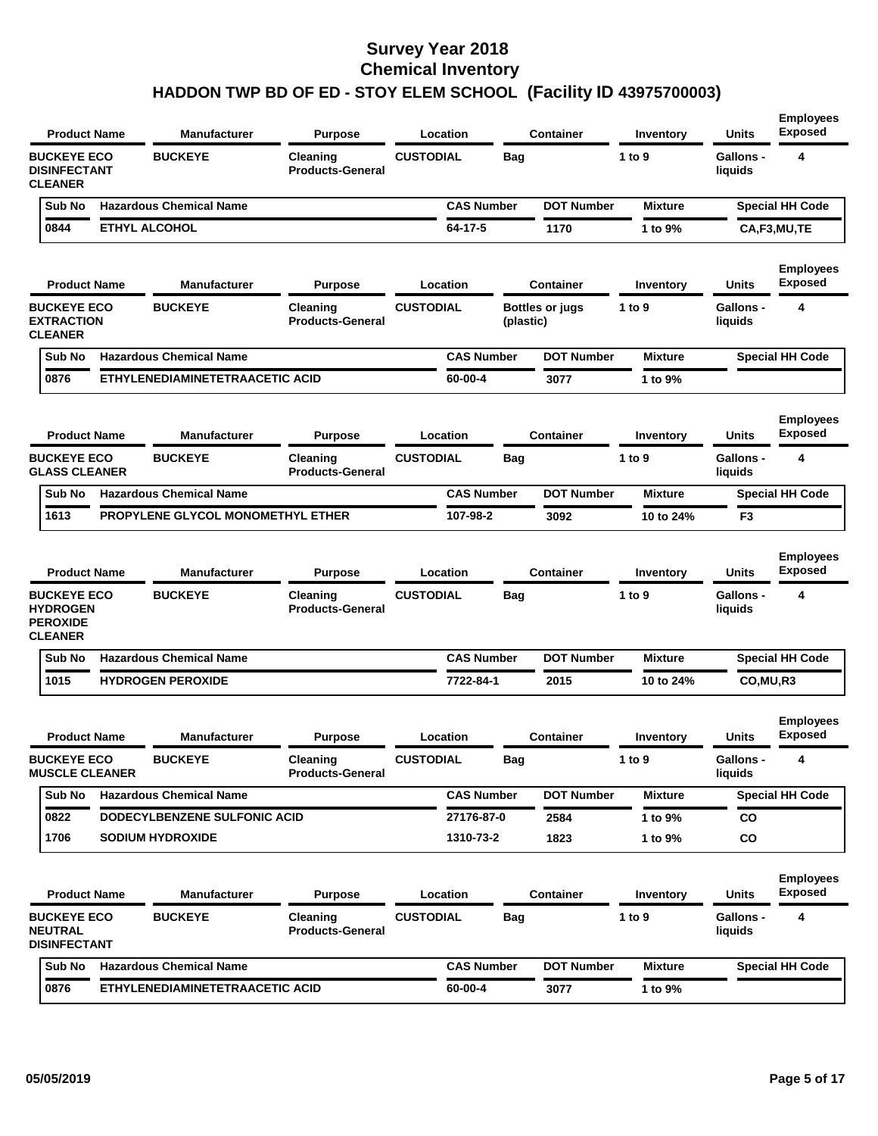| <b>CUSTODIAL</b><br><b>BUCKEYE</b><br>4<br><b>BUCKEYE ECO</b><br>Cleaning<br>Bag<br>1 to $9$<br><b>Gallons -</b><br><b>DISINFECTANT</b><br><b>Products-General</b><br>liquids<br><b>CLEANER</b><br><b>DOT Number</b><br><b>Hazardous Chemical Name</b><br><b>CAS Number</b><br><b>Special HH Code</b><br>Sub No<br><b>Mixture</b><br>0844<br><b>ETHYL ALCOHOL</b><br>64-17-5<br>1170<br>1 to 9%<br>CA,F3,MU,TE<br><b>Exposed</b><br><b>Product Name</b><br><b>Manufacturer</b><br><b>Purpose</b><br>Location<br><b>Container</b><br>Units<br>Inventory<br><b>BUCKEYE</b><br><b>CUSTODIAL</b><br><b>Bottles or jugs</b><br>4<br><b>BUCKEYE ECO</b><br>Cleaning<br>1 to $9$<br><b>Gallons -</b><br><b>EXTRACTION</b><br><b>Products-General</b><br>liquids<br>(plastic)<br><b>CLEANER</b><br><b>CAS Number</b><br><b>DOT Number</b><br>Sub No<br><b>Hazardous Chemical Name</b><br><b>Mixture</b><br><b>Special HH Code</b><br>0876<br>ETHYLENEDIAMINETETRAACETIC ACID<br>60-00-4<br>1 to 9%<br>3077<br><b>Exposed</b><br><b>Container</b><br><b>Units</b><br><b>Product Name</b><br><b>Manufacturer</b><br><b>Purpose</b><br>Location<br>Inventory<br>4<br><b>BUCKEYE ECO</b><br><b>BUCKEYE</b><br><b>CUSTODIAL</b><br>Cleaning<br>Bag<br>1 to $9$<br><b>Gallons -</b><br><b>GLASS CLEANER</b><br><b>Products-General</b><br>liquids<br><b>Hazardous Chemical Name</b><br><b>CAS Number</b><br><b>DOT Number</b><br><b>Mixture</b><br><b>Special HH Code</b><br>Sub No<br>1613<br>PROPYLENE GLYCOL MONOMETHYL ETHER<br>107-98-2<br>3092<br>10 to 24%<br>F <sub>3</sub><br><b>Exposed</b><br><b>Units</b><br><b>Product Name</b><br><b>Manufacturer</b><br><b>Purpose</b><br>Location<br>Container<br>Inventory<br><b>CUSTODIAL</b><br><b>BUCKEYE</b><br><b>Gallons -</b><br>4<br><b>BUCKEYE ECO</b><br>Cleaning<br>1 to $9$<br>Bag<br><b>HYDROGEN</b><br><b>Products-General</b><br>liquids<br><b>PEROXIDE</b><br><b>CLEANER</b><br>Sub No<br><b>Hazardous Chemical Name</b><br><b>CAS Number</b><br><b>DOT Number</b><br><b>Special HH Code</b><br><b>Mixture</b><br>1015<br><b>HYDROGEN PEROXIDE</b><br>7722-84-1<br>2015<br>10 to 24%<br>CO, MU, R3<br>Exposed<br><b>Product Name</b><br>Location<br><b>Manufacturer</b><br>Container<br>Units<br><b>Purpose</b><br>Inventory<br><b>CUSTODIAL</b><br><b>BUCKEYE ECO</b><br><b>BUCKEYE</b><br>Cleaning<br><b>Gallons -</b><br>1 to 9<br>вag<br><b>MUSCLE CLEANER</b><br><b>Products-General</b><br>liquids<br><b>Hazardous Chemical Name</b><br><b>CAS Number</b><br><b>DOT Number</b><br>Sub No<br><b>Mixture</b><br><b>Special HH Code</b><br>DODECYLBENZENE SULFONIC ACID<br>0822<br>27176-87-0<br>2584<br>CO<br>1 to 9%<br>1706<br><b>SODIUM HYDROXIDE</b><br>1310-73-2<br>co<br>1823<br>1 to 9%<br><b>Exposed</b><br><b>Units</b><br><b>Product Name</b><br><b>Purpose</b><br>Location<br><b>Container</b><br><b>Manufacturer</b><br>Inventory<br><b>BUCKEYE ECO</b><br><b>BUCKEYE</b><br><b>CUSTODIAL</b><br>1 to $9$<br><b>Gallons -</b><br>4<br>Cleaning<br><b>Bag</b><br><b>NEUTRAL</b><br><b>Products-General</b><br>liquids<br><b>DISINFECTANT</b><br><b>Hazardous Chemical Name</b><br><b>DOT Number</b><br>Special HH Code<br>Sub No<br><b>CAS Number</b><br><b>Mixture</b><br>0876<br>ETHYLENEDIAMINETETRAACETIC ACID<br>60-00-4<br>3077<br>1 to 9% | <b>Product Name</b> | <b>Manufacturer</b> | <b>Purpose</b> | Location | Container | Inventory | <b>Units</b> | <b>Employees</b><br><b>Exposed</b> |
|--------------------------------------------------------------------------------------------------------------------------------------------------------------------------------------------------------------------------------------------------------------------------------------------------------------------------------------------------------------------------------------------------------------------------------------------------------------------------------------------------------------------------------------------------------------------------------------------------------------------------------------------------------------------------------------------------------------------------------------------------------------------------------------------------------------------------------------------------------------------------------------------------------------------------------------------------------------------------------------------------------------------------------------------------------------------------------------------------------------------------------------------------------------------------------------------------------------------------------------------------------------------------------------------------------------------------------------------------------------------------------------------------------------------------------------------------------------------------------------------------------------------------------------------------------------------------------------------------------------------------------------------------------------------------------------------------------------------------------------------------------------------------------------------------------------------------------------------------------------------------------------------------------------------------------------------------------------------------------------------------------------------------------------------------------------------------------------------------------------------------------------------------------------------------------------------------------------------------------------------------------------------------------------------------------------------------------------------------------------------------------------------------------------------------------------------------------------------------------------------------------------------------------------------------------------------------------------------------------------------------------------------------------------------------------------------------------------------------------------------------------------------------------------------------------------------------------------------------------------------------------------------------------------------------------------------------------------------------------------------------------------------------------------------------------------------------------------------------------------------------------------------------------------------------------------------------------------------------------------------------------------------------------------------------------------------|---------------------|---------------------|----------------|----------|-----------|-----------|--------------|------------------------------------|
|                                                                                                                                                                                                                                                                                                                                                                                                                                                                                                                                                                                                                                                                                                                                                                                                                                                                                                                                                                                                                                                                                                                                                                                                                                                                                                                                                                                                                                                                                                                                                                                                                                                                                                                                                                                                                                                                                                                                                                                                                                                                                                                                                                                                                                                                                                                                                                                                                                                                                                                                                                                                                                                                                                                                                                                                                                                                                                                                                                                                                                                                                                                                                                                                                                                                                                                    |                     |                     |                |          |           |           |              |                                    |
|                                                                                                                                                                                                                                                                                                                                                                                                                                                                                                                                                                                                                                                                                                                                                                                                                                                                                                                                                                                                                                                                                                                                                                                                                                                                                                                                                                                                                                                                                                                                                                                                                                                                                                                                                                                                                                                                                                                                                                                                                                                                                                                                                                                                                                                                                                                                                                                                                                                                                                                                                                                                                                                                                                                                                                                                                                                                                                                                                                                                                                                                                                                                                                                                                                                                                                                    |                     |                     |                |          |           |           |              |                                    |
|                                                                                                                                                                                                                                                                                                                                                                                                                                                                                                                                                                                                                                                                                                                                                                                                                                                                                                                                                                                                                                                                                                                                                                                                                                                                                                                                                                                                                                                                                                                                                                                                                                                                                                                                                                                                                                                                                                                                                                                                                                                                                                                                                                                                                                                                                                                                                                                                                                                                                                                                                                                                                                                                                                                                                                                                                                                                                                                                                                                                                                                                                                                                                                                                                                                                                                                    |                     |                     |                |          |           |           |              |                                    |
|                                                                                                                                                                                                                                                                                                                                                                                                                                                                                                                                                                                                                                                                                                                                                                                                                                                                                                                                                                                                                                                                                                                                                                                                                                                                                                                                                                                                                                                                                                                                                                                                                                                                                                                                                                                                                                                                                                                                                                                                                                                                                                                                                                                                                                                                                                                                                                                                                                                                                                                                                                                                                                                                                                                                                                                                                                                                                                                                                                                                                                                                                                                                                                                                                                                                                                                    |                     |                     |                |          |           |           |              | <b>Employees</b>                   |
|                                                                                                                                                                                                                                                                                                                                                                                                                                                                                                                                                                                                                                                                                                                                                                                                                                                                                                                                                                                                                                                                                                                                                                                                                                                                                                                                                                                                                                                                                                                                                                                                                                                                                                                                                                                                                                                                                                                                                                                                                                                                                                                                                                                                                                                                                                                                                                                                                                                                                                                                                                                                                                                                                                                                                                                                                                                                                                                                                                                                                                                                                                                                                                                                                                                                                                                    |                     |                     |                |          |           |           |              |                                    |
|                                                                                                                                                                                                                                                                                                                                                                                                                                                                                                                                                                                                                                                                                                                                                                                                                                                                                                                                                                                                                                                                                                                                                                                                                                                                                                                                                                                                                                                                                                                                                                                                                                                                                                                                                                                                                                                                                                                                                                                                                                                                                                                                                                                                                                                                                                                                                                                                                                                                                                                                                                                                                                                                                                                                                                                                                                                                                                                                                                                                                                                                                                                                                                                                                                                                                                                    |                     |                     |                |          |           |           |              |                                    |
|                                                                                                                                                                                                                                                                                                                                                                                                                                                                                                                                                                                                                                                                                                                                                                                                                                                                                                                                                                                                                                                                                                                                                                                                                                                                                                                                                                                                                                                                                                                                                                                                                                                                                                                                                                                                                                                                                                                                                                                                                                                                                                                                                                                                                                                                                                                                                                                                                                                                                                                                                                                                                                                                                                                                                                                                                                                                                                                                                                                                                                                                                                                                                                                                                                                                                                                    |                     |                     |                |          |           |           |              |                                    |
|                                                                                                                                                                                                                                                                                                                                                                                                                                                                                                                                                                                                                                                                                                                                                                                                                                                                                                                                                                                                                                                                                                                                                                                                                                                                                                                                                                                                                                                                                                                                                                                                                                                                                                                                                                                                                                                                                                                                                                                                                                                                                                                                                                                                                                                                                                                                                                                                                                                                                                                                                                                                                                                                                                                                                                                                                                                                                                                                                                                                                                                                                                                                                                                                                                                                                                                    |                     |                     |                |          |           |           |              | <b>Employees</b>                   |
|                                                                                                                                                                                                                                                                                                                                                                                                                                                                                                                                                                                                                                                                                                                                                                                                                                                                                                                                                                                                                                                                                                                                                                                                                                                                                                                                                                                                                                                                                                                                                                                                                                                                                                                                                                                                                                                                                                                                                                                                                                                                                                                                                                                                                                                                                                                                                                                                                                                                                                                                                                                                                                                                                                                                                                                                                                                                                                                                                                                                                                                                                                                                                                                                                                                                                                                    |                     |                     |                |          |           |           |              |                                    |
|                                                                                                                                                                                                                                                                                                                                                                                                                                                                                                                                                                                                                                                                                                                                                                                                                                                                                                                                                                                                                                                                                                                                                                                                                                                                                                                                                                                                                                                                                                                                                                                                                                                                                                                                                                                                                                                                                                                                                                                                                                                                                                                                                                                                                                                                                                                                                                                                                                                                                                                                                                                                                                                                                                                                                                                                                                                                                                                                                                                                                                                                                                                                                                                                                                                                                                                    |                     |                     |                |          |           |           |              |                                    |
|                                                                                                                                                                                                                                                                                                                                                                                                                                                                                                                                                                                                                                                                                                                                                                                                                                                                                                                                                                                                                                                                                                                                                                                                                                                                                                                                                                                                                                                                                                                                                                                                                                                                                                                                                                                                                                                                                                                                                                                                                                                                                                                                                                                                                                                                                                                                                                                                                                                                                                                                                                                                                                                                                                                                                                                                                                                                                                                                                                                                                                                                                                                                                                                                                                                                                                                    |                     |                     |                |          |           |           |              |                                    |
|                                                                                                                                                                                                                                                                                                                                                                                                                                                                                                                                                                                                                                                                                                                                                                                                                                                                                                                                                                                                                                                                                                                                                                                                                                                                                                                                                                                                                                                                                                                                                                                                                                                                                                                                                                                                                                                                                                                                                                                                                                                                                                                                                                                                                                                                                                                                                                                                                                                                                                                                                                                                                                                                                                                                                                                                                                                                                                                                                                                                                                                                                                                                                                                                                                                                                                                    |                     |                     |                |          |           |           |              | <b>Employees</b>                   |
|                                                                                                                                                                                                                                                                                                                                                                                                                                                                                                                                                                                                                                                                                                                                                                                                                                                                                                                                                                                                                                                                                                                                                                                                                                                                                                                                                                                                                                                                                                                                                                                                                                                                                                                                                                                                                                                                                                                                                                                                                                                                                                                                                                                                                                                                                                                                                                                                                                                                                                                                                                                                                                                                                                                                                                                                                                                                                                                                                                                                                                                                                                                                                                                                                                                                                                                    |                     |                     |                |          |           |           |              |                                    |
|                                                                                                                                                                                                                                                                                                                                                                                                                                                                                                                                                                                                                                                                                                                                                                                                                                                                                                                                                                                                                                                                                                                                                                                                                                                                                                                                                                                                                                                                                                                                                                                                                                                                                                                                                                                                                                                                                                                                                                                                                                                                                                                                                                                                                                                                                                                                                                                                                                                                                                                                                                                                                                                                                                                                                                                                                                                                                                                                                                                                                                                                                                                                                                                                                                                                                                                    |                     |                     |                |          |           |           |              |                                    |
|                                                                                                                                                                                                                                                                                                                                                                                                                                                                                                                                                                                                                                                                                                                                                                                                                                                                                                                                                                                                                                                                                                                                                                                                                                                                                                                                                                                                                                                                                                                                                                                                                                                                                                                                                                                                                                                                                                                                                                                                                                                                                                                                                                                                                                                                                                                                                                                                                                                                                                                                                                                                                                                                                                                                                                                                                                                                                                                                                                                                                                                                                                                                                                                                                                                                                                                    |                     |                     |                |          |           |           |              |                                    |
|                                                                                                                                                                                                                                                                                                                                                                                                                                                                                                                                                                                                                                                                                                                                                                                                                                                                                                                                                                                                                                                                                                                                                                                                                                                                                                                                                                                                                                                                                                                                                                                                                                                                                                                                                                                                                                                                                                                                                                                                                                                                                                                                                                                                                                                                                                                                                                                                                                                                                                                                                                                                                                                                                                                                                                                                                                                                                                                                                                                                                                                                                                                                                                                                                                                                                                                    |                     |                     |                |          |           |           |              | <b>Employees</b>                   |
|                                                                                                                                                                                                                                                                                                                                                                                                                                                                                                                                                                                                                                                                                                                                                                                                                                                                                                                                                                                                                                                                                                                                                                                                                                                                                                                                                                                                                                                                                                                                                                                                                                                                                                                                                                                                                                                                                                                                                                                                                                                                                                                                                                                                                                                                                                                                                                                                                                                                                                                                                                                                                                                                                                                                                                                                                                                                                                                                                                                                                                                                                                                                                                                                                                                                                                                    |                     |                     |                |          |           |           |              |                                    |
|                                                                                                                                                                                                                                                                                                                                                                                                                                                                                                                                                                                                                                                                                                                                                                                                                                                                                                                                                                                                                                                                                                                                                                                                                                                                                                                                                                                                                                                                                                                                                                                                                                                                                                                                                                                                                                                                                                                                                                                                                                                                                                                                                                                                                                                                                                                                                                                                                                                                                                                                                                                                                                                                                                                                                                                                                                                                                                                                                                                                                                                                                                                                                                                                                                                                                                                    |                     |                     |                |          |           |           |              |                                    |
|                                                                                                                                                                                                                                                                                                                                                                                                                                                                                                                                                                                                                                                                                                                                                                                                                                                                                                                                                                                                                                                                                                                                                                                                                                                                                                                                                                                                                                                                                                                                                                                                                                                                                                                                                                                                                                                                                                                                                                                                                                                                                                                                                                                                                                                                                                                                                                                                                                                                                                                                                                                                                                                                                                                                                                                                                                                                                                                                                                                                                                                                                                                                                                                                                                                                                                                    |                     |                     |                |          |           |           |              |                                    |
|                                                                                                                                                                                                                                                                                                                                                                                                                                                                                                                                                                                                                                                                                                                                                                                                                                                                                                                                                                                                                                                                                                                                                                                                                                                                                                                                                                                                                                                                                                                                                                                                                                                                                                                                                                                                                                                                                                                                                                                                                                                                                                                                                                                                                                                                                                                                                                                                                                                                                                                                                                                                                                                                                                                                                                                                                                                                                                                                                                                                                                                                                                                                                                                                                                                                                                                    |                     |                     |                |          |           |           |              |                                    |
|                                                                                                                                                                                                                                                                                                                                                                                                                                                                                                                                                                                                                                                                                                                                                                                                                                                                                                                                                                                                                                                                                                                                                                                                                                                                                                                                                                                                                                                                                                                                                                                                                                                                                                                                                                                                                                                                                                                                                                                                                                                                                                                                                                                                                                                                                                                                                                                                                                                                                                                                                                                                                                                                                                                                                                                                                                                                                                                                                                                                                                                                                                                                                                                                                                                                                                                    |                     |                     |                |          |           |           |              | <b>Employees</b>                   |
|                                                                                                                                                                                                                                                                                                                                                                                                                                                                                                                                                                                                                                                                                                                                                                                                                                                                                                                                                                                                                                                                                                                                                                                                                                                                                                                                                                                                                                                                                                                                                                                                                                                                                                                                                                                                                                                                                                                                                                                                                                                                                                                                                                                                                                                                                                                                                                                                                                                                                                                                                                                                                                                                                                                                                                                                                                                                                                                                                                                                                                                                                                                                                                                                                                                                                                                    |                     |                     |                |          |           |           |              |                                    |
|                                                                                                                                                                                                                                                                                                                                                                                                                                                                                                                                                                                                                                                                                                                                                                                                                                                                                                                                                                                                                                                                                                                                                                                                                                                                                                                                                                                                                                                                                                                                                                                                                                                                                                                                                                                                                                                                                                                                                                                                                                                                                                                                                                                                                                                                                                                                                                                                                                                                                                                                                                                                                                                                                                                                                                                                                                                                                                                                                                                                                                                                                                                                                                                                                                                                                                                    |                     |                     |                |          |           |           |              |                                    |
|                                                                                                                                                                                                                                                                                                                                                                                                                                                                                                                                                                                                                                                                                                                                                                                                                                                                                                                                                                                                                                                                                                                                                                                                                                                                                                                                                                                                                                                                                                                                                                                                                                                                                                                                                                                                                                                                                                                                                                                                                                                                                                                                                                                                                                                                                                                                                                                                                                                                                                                                                                                                                                                                                                                                                                                                                                                                                                                                                                                                                                                                                                                                                                                                                                                                                                                    |                     |                     |                |          |           |           |              |                                    |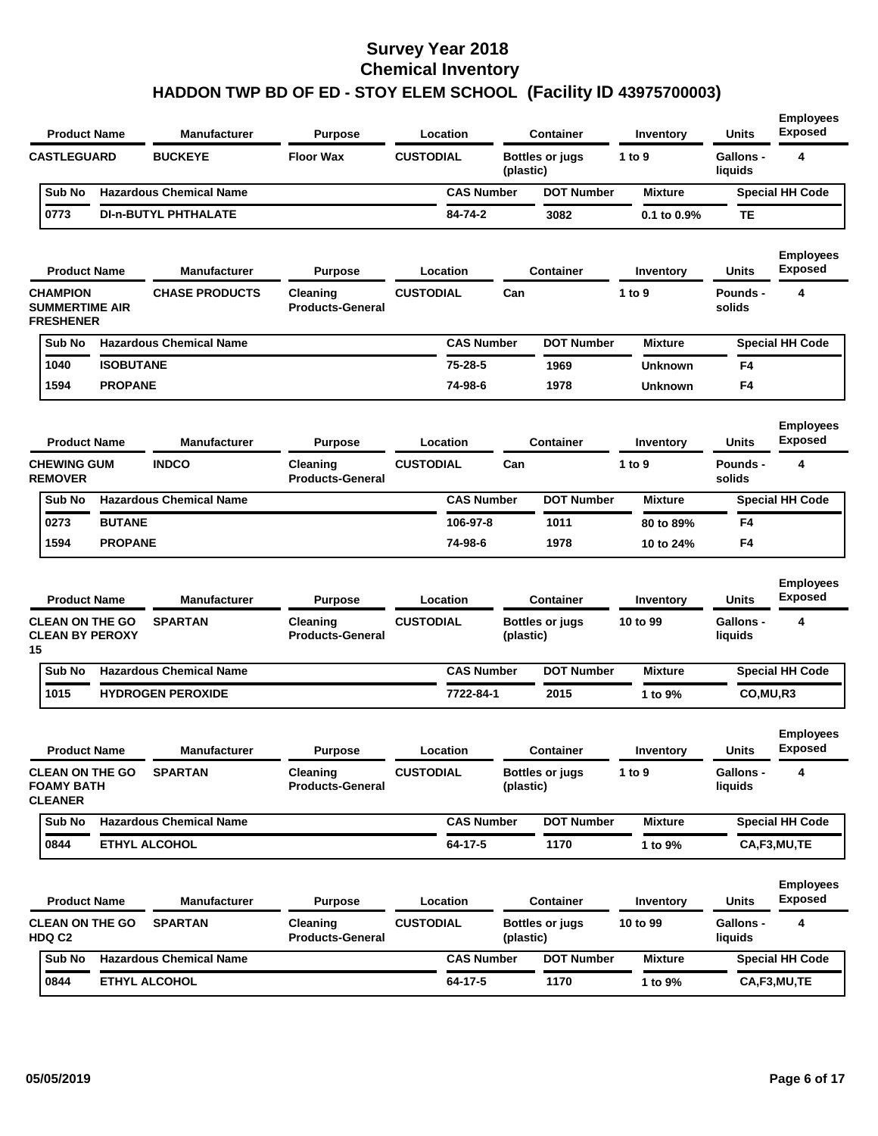| <b>BUCKEYE</b><br><b>Floor Wax</b><br><b>CUSTODIAL</b><br><b>CASTLEGUARD</b><br><b>Bottles or jugs</b><br>1 to 9<br><b>Gallons -</b><br>(plastic)<br>liquids<br><b>Hazardous Chemical Name</b><br><b>CAS Number</b><br><b>DOT Number</b><br>Sub No<br><b>Mixture</b> | 4<br><b>Special HH Code</b><br>TЕ  |
|----------------------------------------------------------------------------------------------------------------------------------------------------------------------------------------------------------------------------------------------------------------------|------------------------------------|
|                                                                                                                                                                                                                                                                      |                                    |
|                                                                                                                                                                                                                                                                      |                                    |
| 0773<br><b>DI-n-BUTYL PHTHALATE</b><br>84-74-2<br>3082<br>$0.1$ to $0.9\%$                                                                                                                                                                                           |                                    |
| <b>Product Name</b><br>Manufacturer<br><b>Purpose</b><br>Location<br><b>Container</b><br>Units<br>Inventory                                                                                                                                                          | <b>Employees</b><br><b>Exposed</b> |
| <b>CUSTODIAL</b><br><b>CHAMPION</b><br><b>CHASE PRODUCTS</b><br>Can<br>1 to 9<br>Pounds -<br>Cleaning<br><b>SUMMERTIME AIR</b><br><b>Products-General</b><br>solids<br><b>FRESHENER</b>                                                                              | 4                                  |
| <b>DOT Number</b><br><b>Hazardous Chemical Name</b><br><b>CAS Number</b><br>Sub No<br><b>Mixture</b>                                                                                                                                                                 | <b>Special HH Code</b>             |
| <b>ISOBUTANE</b><br>75-28-5<br>1040<br>1969<br>Unknown                                                                                                                                                                                                               | F4                                 |
| 1594<br><b>PROPANE</b><br>74-98-6<br>1978<br><b>Unknown</b>                                                                                                                                                                                                          | F4                                 |
| <b>Manufacturer</b><br><b>Product Name</b><br><b>Purpose</b><br>Location<br><b>Container</b><br>Units<br>Inventory                                                                                                                                                   | <b>Employees</b><br><b>Exposed</b> |
| <b>CUSTODIAL</b><br><b>CHEWING GUM</b><br><b>INDCO</b><br>Can<br>1 to 9<br>Cleaning<br><b>Pounds -</b><br><b>REMOVER</b><br><b>Products-General</b><br>solids                                                                                                        | 4                                  |
| <b>Hazardous Chemical Name</b><br><b>CAS Number</b><br><b>DOT Number</b><br>Sub No<br><b>Mixture</b>                                                                                                                                                                 | <b>Special HH Code</b>             |
| <b>BUTANE</b><br>0273<br>106-97-8<br>1011<br>80 to 89%                                                                                                                                                                                                               | F4                                 |
| 1594<br><b>PROPANE</b><br>74-98-6<br>1978<br>10 to 24%                                                                                                                                                                                                               | F4                                 |
| <b>Product Name</b><br><b>Manufacturer</b><br>Location<br>Purpose<br><b>Container</b><br>Units<br>Inventory                                                                                                                                                          | <b>Employees</b><br><b>Exposed</b> |
| <b>CLEAN ON THE GO</b><br><b>SPARTAN</b><br><b>CUSTODIAL</b><br>10 to 99<br><b>Gallons -</b><br>Cleaning<br><b>Bottles or jugs</b><br><b>CLEAN BY PEROXY</b><br><b>Products-General</b><br>(plastic)<br>liquids<br>15                                                | 4                                  |
| Sub No<br><b>Hazardous Chemical Name</b><br><b>CAS Number</b><br><b>DOT Number</b><br><b>Mixture</b>                                                                                                                                                                 | <b>Special HH Code</b>             |
| 1015<br><b>HYDROGEN PEROXIDE</b><br>7722-84-1<br>2015<br>1 to 9%                                                                                                                                                                                                     | CO,MU,R3                           |
| <b>Product Name</b><br><b>Manufacturer</b><br><b>Purpose</b><br>Location<br><b>Container</b><br>Units<br>Inventory                                                                                                                                                   | <b>Employees</b><br><b>Exposed</b> |
| Gallons -<br><b>CLEAN ON THE GO</b><br><b>SPARTAN</b><br>Cleaning<br><b>CUSTODIAL</b><br><b>Bottles or jugs</b><br>1 to 9<br><b>FOAMY BATH</b><br><b>Products-General</b><br>liquids<br>(plastic)<br><b>CLEANER</b>                                                  | 4                                  |
| <b>Sub No</b><br><b>Hazardous Chemical Name</b><br><b>CAS Number</b><br><b>DOT Number</b><br><b>Mixture</b>                                                                                                                                                          | <b>Special HH Code</b>             |
| 64-17-5<br>1170<br>0844<br><b>ETHYL ALCOHOL</b><br>1 to 9%                                                                                                                                                                                                           | CA,F3,MU,TE                        |
| <b>Product Name</b><br>Manufacturer<br><b>Purpose</b><br>Location<br><b>Container</b><br>Units<br>Inventory                                                                                                                                                          | <b>Employees</b><br><b>Exposed</b> |
| <b>CLEAN ON THE GO</b><br><b>SPARTAN</b><br><b>CUSTODIAL</b><br>10 to 99<br>Gallons -<br>Cleaning<br><b>Bottles or jugs</b><br>HDQ C2<br><b>Products-General</b><br>(plastic)<br>liquids                                                                             | 4                                  |
| <b>Hazardous Chemical Name</b><br><b>CAS Number</b><br><b>DOT Number</b><br>Sub No<br><b>Mixture</b>                                                                                                                                                                 | <b>Special HH Code</b>             |
| 64-17-5<br>0844<br><b>ETHYL ALCOHOL</b><br>1170<br>1 to 9%                                                                                                                                                                                                           | CA,F3,MU,TE                        |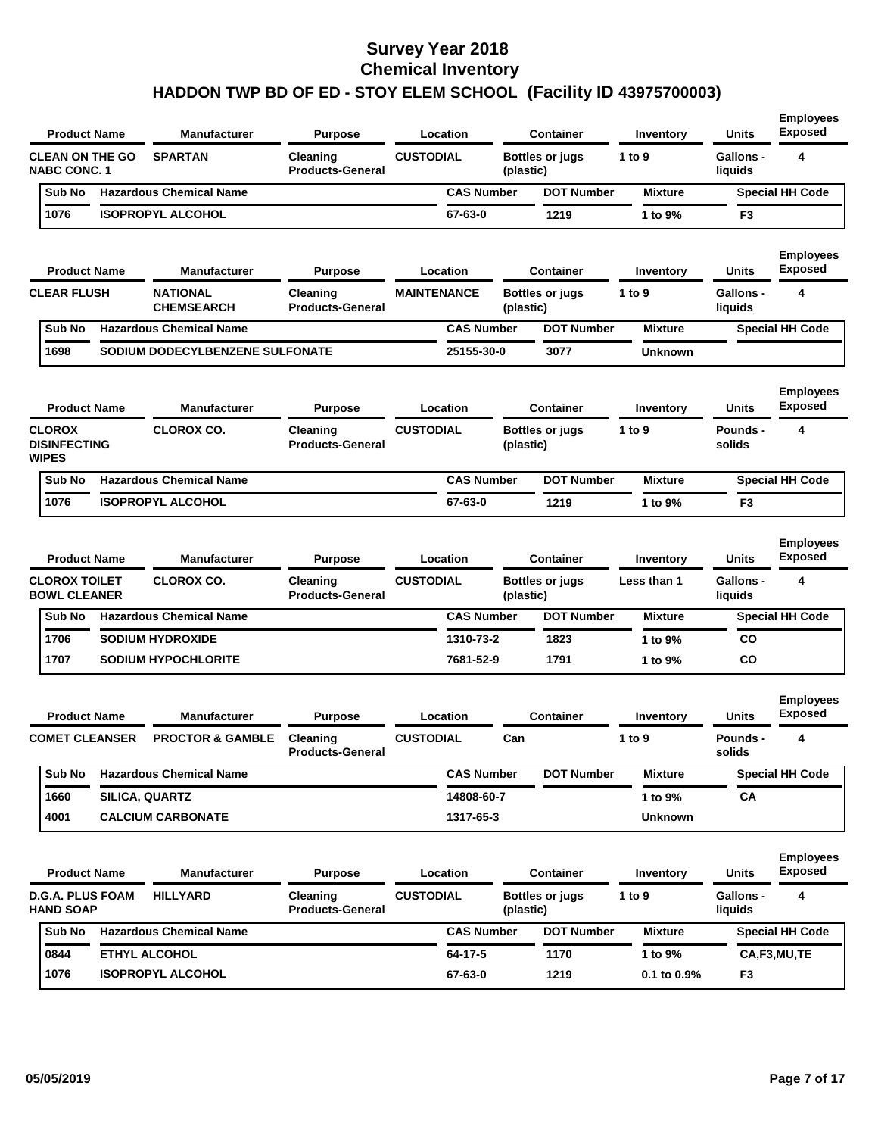| <b>Product Name</b>                                                |                       | Manufacturer                             | <b>Purpose</b>                                        | Location                     |           | <b>Container</b>                           | Inventory                | <b>Units</b>                                | <b>Employees</b><br><b>Exposed</b>      |
|--------------------------------------------------------------------|-----------------------|------------------------------------------|-------------------------------------------------------|------------------------------|-----------|--------------------------------------------|--------------------------|---------------------------------------------|-----------------------------------------|
| <b>CLEAN ON THE GO</b><br><b>NABC CONC. 1</b>                      |                       | <b>SPARTAN</b>                           | Cleaning<br><b>Products-General</b>                   | <b>CUSTODIAL</b>             | (plastic) | <b>Bottles or jugs</b>                     | 1 to 9                   | Gallons -<br>liquids                        | 4                                       |
| Sub No                                                             |                       | <b>Hazardous Chemical Name</b>           |                                                       | <b>CAS Number</b>            |           | <b>DOT Number</b>                          | <b>Mixture</b>           |                                             | <b>Special HH Code</b>                  |
| 1076                                                               |                       | <b>ISOPROPYL ALCOHOL</b>                 |                                                       | 67-63-0                      |           | 1219                                       | 1 to 9%                  | F <sub>3</sub>                              |                                         |
| <b>Product Name</b>                                                |                       | Manufacturer                             | <b>Purpose</b>                                        | Location                     |           | Container                                  | Inventory                | Units                                       | <b>Employees</b><br><b>Exposed</b>      |
| <b>CLEAR FLUSH</b>                                                 |                       | <b>NATIONAL</b><br><b>CHEMSEARCH</b>     | Cleaning<br><b>Products-General</b>                   | <b>MAINTENANCE</b>           | (plastic) | <b>Bottles or jugs</b>                     | 1 to 9                   | <b>Gallons -</b><br>liquids                 | 4                                       |
| Sub No                                                             |                       | <b>Hazardous Chemical Name</b>           |                                                       | <b>CAS Number</b>            |           | <b>DOT Number</b>                          | <b>Mixture</b>           |                                             | <b>Special HH Code</b>                  |
| 1698                                                               |                       | SODIUM DODECYLBENZENE SULFONATE          |                                                       | 25155-30-0                   |           | 3077                                       | <b>Unknown</b>           |                                             |                                         |
| <b>Product Name</b>                                                |                       | <b>Manufacturer</b>                      | <b>Purpose</b>                                        | Location                     |           | <b>Container</b>                           | Inventory                | Units                                       | <b>Employees</b><br><b>Exposed</b>      |
| <b>CLOROX</b><br><b>DISINFECTING</b><br><b>WIPES</b>               |                       | <b>CLOROX CO.</b>                        | Cleaning<br><b>Products-General</b>                   | <b>CUSTODIAL</b>             | (plastic) | <b>Bottles or jugs</b>                     | 1 to 9                   | Pounds -<br>solids                          | 4                                       |
| Sub No                                                             |                       | <b>Hazardous Chemical Name</b>           |                                                       | <b>CAS Number</b>            |           | <b>DOT Number</b>                          | <b>Mixture</b>           |                                             | <b>Special HH Code</b>                  |
| 1076                                                               |                       | <b>ISOPROPYL ALCOHOL</b>                 |                                                       | 67-63-0                      |           | 1219                                       | 1 to 9%                  | F3                                          |                                         |
| <b>Product Name</b><br><b>CLOROX TOILET</b><br><b>BOWL CLEANER</b> |                       | <b>Manufacturer</b><br><b>CLOROX CO.</b> | <b>Purpose</b><br>Cleaning<br><b>Products-General</b> | Location<br><b>CUSTODIAL</b> | (plastic) | <b>Container</b><br><b>Bottles or jugs</b> | Inventory<br>Less than 1 | <b>Units</b><br><b>Gallons -</b><br>liquids | <b>Employees</b><br><b>Exposed</b><br>4 |
| Sub No                                                             |                       | <b>Hazardous Chemical Name</b>           |                                                       | <b>CAS Number</b>            |           | <b>DOT Number</b>                          | <b>Mixture</b>           |                                             | <b>Special HH Code</b>                  |
| 1706                                                               |                       |                                          |                                                       |                              |           |                                            |                          |                                             |                                         |
| 1707                                                               |                       | <b>SODIUM HYDROXIDE</b>                  |                                                       | 1310-73-2                    |           | 1823                                       | 1 to 9%                  | <b>CO</b>                                   |                                         |
|                                                                    |                       | <b>SODIUM HYPOCHLORITE</b>               |                                                       | 7681-52-9                    |           | 1791                                       | 1 to 9%                  | CO                                          |                                         |
| <b>Product Name</b>                                                |                       | <b>Manufacturer</b>                      | <b>Purpose</b>                                        | Location                     |           | <b>Container</b>                           | Inventory                | Units                                       | <b>Employees</b><br><b>Exposed</b>      |
| <b>COMET CLEANSER</b>                                              |                       | <b>PROCTOR &amp; GAMBLE</b>              | Cleaning<br><b>Products-General</b>                   | <b>CUSTODIAL</b>             | Can       |                                            | 1 to 9                   | <b>Pounds -</b><br>solids                   | 4                                       |
| Sub No                                                             |                       | <b>Hazardous Chemical Name</b>           |                                                       | <b>CAS Number</b>            |           | <b>DOT Number</b>                          | <b>Mixture</b>           |                                             | <b>Special HH Code</b>                  |
| 1660                                                               | <b>SILICA, QUARTZ</b> |                                          |                                                       | 14808-60-7                   |           |                                            | 1 to 9%                  | СA                                          |                                         |
| 4001                                                               |                       | <b>CALCIUM CARBONATE</b>                 |                                                       | 1317-65-3                    |           |                                            | <b>Unknown</b>           |                                             |                                         |
| <b>Product Name</b>                                                |                       | <b>Manufacturer</b>                      | <b>Purpose</b>                                        | Location                     |           | <b>Container</b>                           | Inventory                | <b>Units</b>                                | <b>Employees</b><br><b>Exposed</b>      |
| <b>D.G.A. PLUS FOAM</b><br><b>HAND SOAP</b>                        |                       | <b>HILLYARD</b>                          | Cleaning<br><b>Products-General</b>                   | <b>CUSTODIAL</b>             | (plastic) | <b>Bottles or jugs</b>                     | 1 to 9                   | <b>Gallons -</b><br>liquids                 | 4                                       |
| Sub No                                                             |                       | <b>Hazardous Chemical Name</b>           |                                                       | <b>CAS Number</b>            |           | <b>DOT Number</b>                          | <b>Mixture</b>           |                                             | <b>Special HH Code</b>                  |
| 0844                                                               |                       | ETHYL ALCOHOL                            |                                                       | 64-17-5                      |           | 1170                                       | 1 to 9%                  |                                             | CA,F3,MU,TE                             |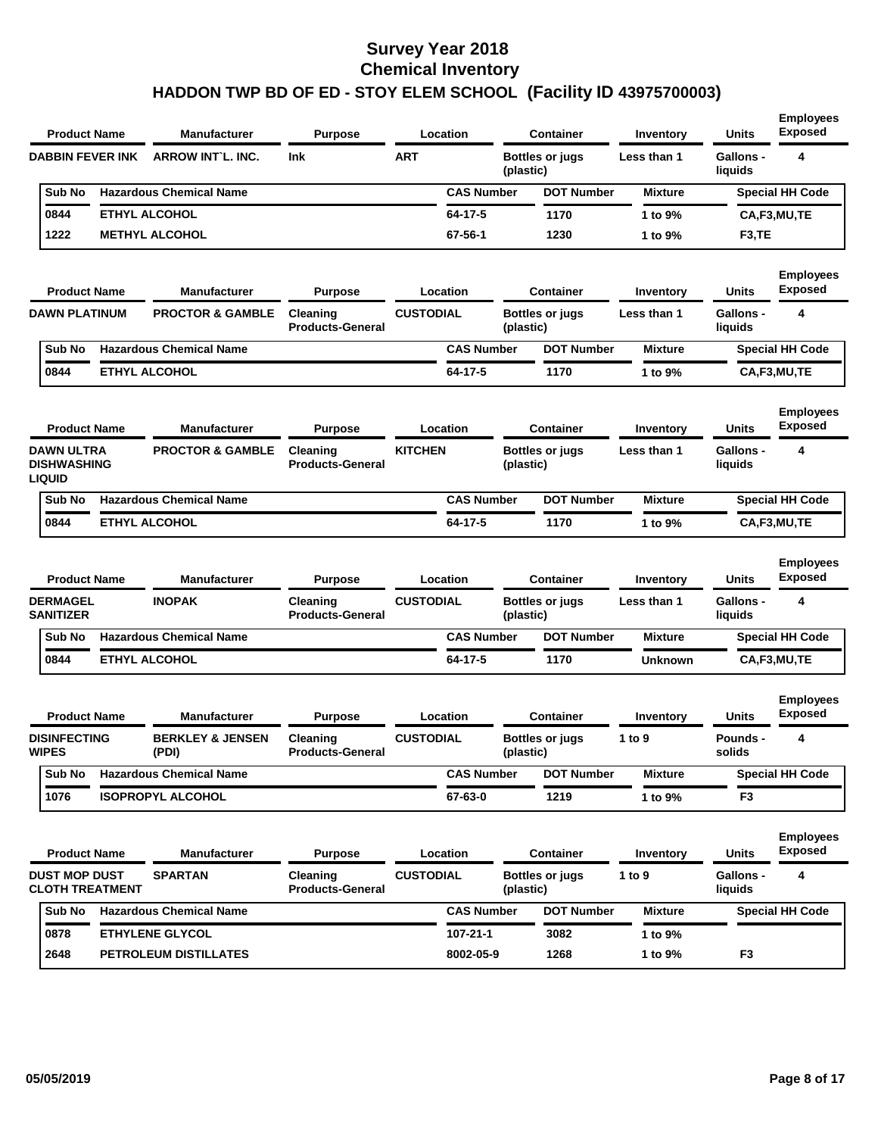| <b>Product Name</b>                                      | Manufacturer                         | <b>Purpose</b>                      | Location          |           | <b>Container</b>       | Inventory      | <b>Units</b>                | <b>Employees</b><br><b>Exposed</b> |
|----------------------------------------------------------|--------------------------------------|-------------------------------------|-------------------|-----------|------------------------|----------------|-----------------------------|------------------------------------|
| <b>DABBIN FEVER INK</b>                                  | <b>ARROW INT'L. INC.</b>             | <b>Ink</b>                          | <b>ART</b>        | (plastic) | <b>Bottles or jugs</b> | Less than 1    | <b>Gallons -</b><br>liquids | 4                                  |
| Sub No                                                   | <b>Hazardous Chemical Name</b>       |                                     | <b>CAS Number</b> |           | <b>DOT Number</b>      | <b>Mixture</b> |                             | <b>Special HH Code</b>             |
| 0844                                                     | <b>ETHYL ALCOHOL</b>                 |                                     | 64-17-5           |           | 1170                   | 1 to 9%        |                             | CA,F3,MU,TE                        |
| 1222                                                     | <b>METHYL ALCOHOL</b>                |                                     | 67-56-1           |           | 1230                   | 1 to 9%        | F3,TE                       |                                    |
| <b>Product Name</b>                                      | <b>Manufacturer</b>                  | <b>Purpose</b>                      | Location          |           | <b>Container</b>       | Inventory      | <b>Units</b>                | <b>Employees</b><br><b>Exposed</b> |
| <b>DAWN PLATINUM</b>                                     | <b>PROCTOR &amp; GAMBLE</b>          | Cleaning<br><b>Products-General</b> | <b>CUSTODIAL</b>  | (plastic) | <b>Bottles or jugs</b> | Less than 1    | <b>Gallons -</b><br>liquids | 4                                  |
| Sub No                                                   | <b>Hazardous Chemical Name</b>       |                                     | <b>CAS Number</b> |           | <b>DOT Number</b>      | <b>Mixture</b> |                             | <b>Special HH Code</b>             |
| 0844                                                     | <b>ETHYL ALCOHOL</b>                 |                                     | 64-17-5           |           | 1170                   | 1 to 9%        |                             | CA,F3,MU,TE                        |
| <b>Product Name</b>                                      | <b>Manufacturer</b>                  | <b>Purpose</b>                      | Location          |           | <b>Container</b>       | Inventory      | <b>Units</b>                | <b>Employees</b><br><b>Exposed</b> |
| <b>DAWN ULTRA</b><br><b>DISHWASHING</b><br><b>LIQUID</b> | <b>PROCTOR &amp; GAMBLE</b>          | Cleaning<br><b>Products-General</b> | <b>KITCHEN</b>    | (plastic) | <b>Bottles or jugs</b> | Less than 1    | <b>Gallons -</b><br>liquids | 4                                  |
|                                                          | <b>Hazardous Chemical Name</b>       |                                     | <b>CAS Number</b> |           | <b>DOT Number</b>      | <b>Mixture</b> |                             | <b>Special HH Code</b>             |
| Sub No                                                   |                                      |                                     |                   |           |                        |                |                             |                                    |
| 0844                                                     | <b>ETHYL ALCOHOL</b>                 |                                     | 64-17-5           |           | 1170                   | 1 to 9%        |                             | CA,F3,MU,TE                        |
| <b>Product Name</b>                                      | <b>Manufacturer</b>                  | <b>Purpose</b>                      | Location          |           | <b>Container</b>       | Inventory      | <b>Units</b>                | <b>Employees</b><br><b>Exposed</b> |
| <b>DERMAGEL</b><br><b>SANITIZER</b>                      | <b>INOPAK</b>                        | Cleaning<br><b>Products-General</b> | <b>CUSTODIAL</b>  | (plastic) | <b>Bottles or jugs</b> | Less than 1    | Gallons -<br>liquids        | 4                                  |
| Sub No                                                   | <b>Hazardous Chemical Name</b>       |                                     | <b>CAS Number</b> |           | <b>DOT Number</b>      | <b>Mixture</b> |                             | <b>Special HH Code</b>             |
| 0844                                                     | <b>ETHYL ALCOHOL</b>                 |                                     | 64-17-5           |           | 1170                   | <b>Unknown</b> |                             | CA,F3,MU,TE                        |
| <b>Product Name</b>                                      | <b>Manufacturer</b>                  | <b>Purpose</b>                      | Location          |           | <b>Container</b>       | Inventory      | Units                       | <b>Employees</b><br><b>Exposed</b> |
| <b>DISINFECTING</b><br><b>WIPES</b>                      | <b>BERKLEY &amp; JENSEN</b><br>(PDI) | Cleaning<br><b>Products-General</b> | <b>CUSTODIAL</b>  | (plastic) | <b>Bottles or jugs</b> | 1 to 9         | Pounds -<br>solids          | 4                                  |
| Sub No                                                   | <b>Hazardous Chemical Name</b>       |                                     | <b>CAS Number</b> |           | <b>DOT Number</b>      | <b>Mixture</b> |                             | <b>Special HH Code</b>             |
| 1076                                                     | <b>ISOPROPYL ALCOHOL</b>             |                                     | 67-63-0           |           | 1219                   | 1 to 9%        | F3                          |                                    |
| <b>Product Name</b>                                      | Manufacturer                         | <b>Purpose</b>                      | Location          |           | Container              | Inventory      | <b>Units</b>                | <b>Employees</b><br><b>Exposed</b> |
| <b>DUST MOP DUST</b><br><b>CLOTH TREATMENT</b>           | <b>SPARTAN</b>                       | Cleaning<br><b>Products-General</b> | <b>CUSTODIAL</b>  | (plastic) | <b>Bottles or jugs</b> | 1 to 9         | Gallons -<br>liquids        | 4                                  |
| Sub No                                                   | <b>Hazardous Chemical Name</b>       |                                     | <b>CAS Number</b> |           | <b>DOT Number</b>      | <b>Mixture</b> |                             | <b>Special HH Code</b>             |
| 0878                                                     | <b>ETHYLENE GLYCOL</b>               |                                     | 107-21-1          |           | 3082                   | 1 to 9%        |                             |                                    |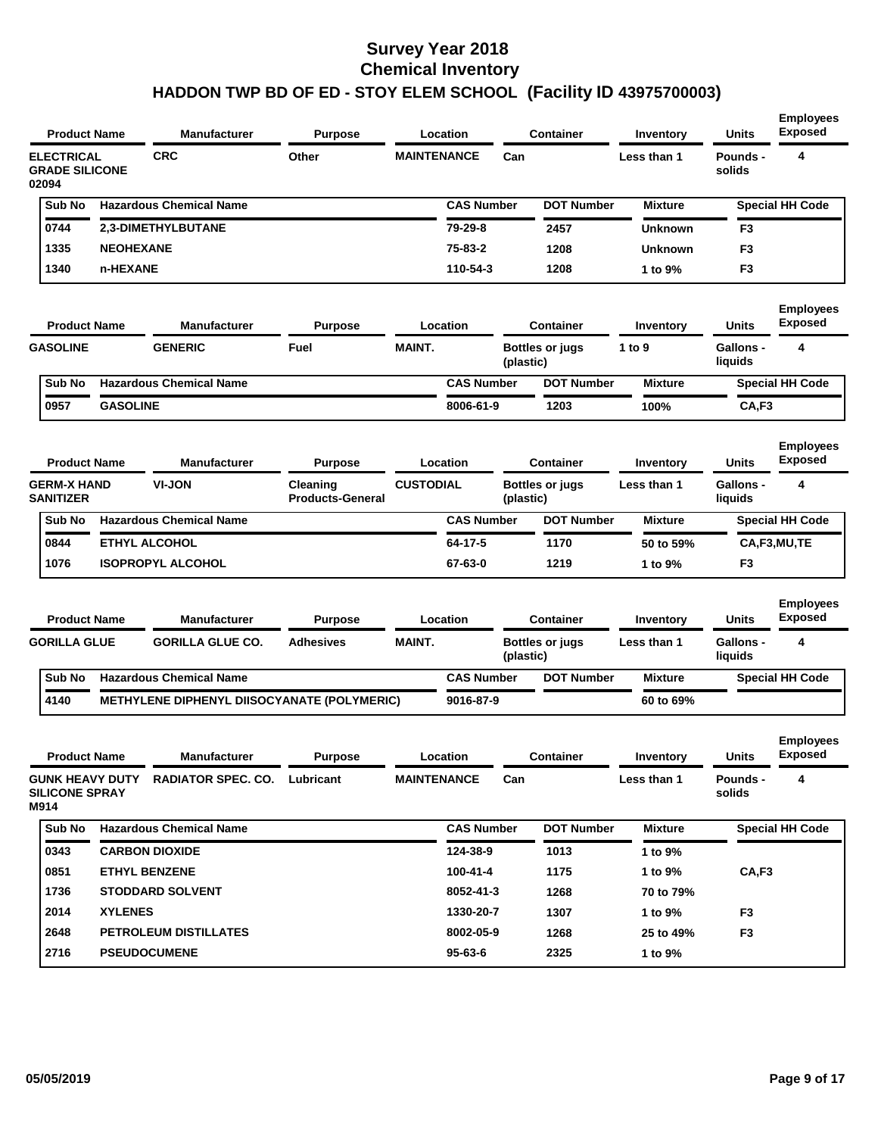| <b>Product Name</b>                                     |                  | <b>Manufacturer</b>                         | <b>Purpose</b>                      |                    | Location          |           | <b>Container</b>       | Inventory      | <b>Units</b>                | <b>Employees</b><br>Exposed        |
|---------------------------------------------------------|------------------|---------------------------------------------|-------------------------------------|--------------------|-------------------|-----------|------------------------|----------------|-----------------------------|------------------------------------|
| <b>ELECTRICAL</b><br><b>GRADE SILICONE</b><br>02094     |                  | <b>CRC</b>                                  | Other                               | <b>MAINTENANCE</b> |                   | Can       |                        | Less than 1    | <b>Pounds -</b><br>solids   | 4                                  |
| Sub No                                                  |                  | <b>Hazardous Chemical Name</b>              |                                     |                    | <b>CAS Number</b> |           | <b>DOT Number</b>      | <b>Mixture</b> |                             | <b>Special HH Code</b>             |
| 0744                                                    |                  | 2,3-DIMETHYLBUTANE                          |                                     |                    | 79-29-8           |           | 2457                   | <b>Unknown</b> | F3                          |                                    |
| 1335                                                    | <b>NEOHEXANE</b> |                                             |                                     |                    | 75-83-2           |           | 1208                   | <b>Unknown</b> | F3                          |                                    |
| 1340                                                    | n-HEXANE         |                                             |                                     |                    | 110-54-3          |           | 1208                   | 1 to 9%        | F <sub>3</sub>              |                                    |
| <b>Product Name</b>                                     |                  | <b>Manufacturer</b>                         | <b>Purpose</b>                      |                    | Location          |           | <b>Container</b>       | Inventory      | <b>Units</b>                | <b>Employees</b><br><b>Exposed</b> |
| <b>GASOLINE</b>                                         |                  | <b>GENERIC</b>                              | Fuel                                | <b>MAINT.</b>      |                   | (plastic) | <b>Bottles or jugs</b> | 1 to 9         | <b>Gallons -</b><br>liquids | 4                                  |
| Sub No                                                  |                  | <b>Hazardous Chemical Name</b>              |                                     |                    | <b>CAS Number</b> |           | <b>DOT Number</b>      | <b>Mixture</b> |                             | <b>Special HH Code</b>             |
| 0957                                                    | <b>GASOLINE</b>  |                                             |                                     |                    | 8006-61-9         |           | 1203                   | 100%           | CA,F3                       |                                    |
| <b>Product Name</b>                                     |                  | <b>Manufacturer</b>                         | <b>Purpose</b>                      |                    | Location          |           | <b>Container</b>       | Inventory      | Units                       | <b>Employees</b><br><b>Exposed</b> |
| <b>GERM-X HAND</b><br><b>SANITIZER</b>                  |                  | VI-JON                                      | Cleaning<br><b>Products-General</b> | <b>CUSTODIAL</b>   |                   | (plastic) | <b>Bottles or jugs</b> | Less than 1    | <b>Gallons -</b><br>liquids | 4                                  |
| Sub No                                                  |                  | <b>Hazardous Chemical Name</b>              |                                     |                    | <b>CAS Number</b> |           | <b>DOT Number</b>      | <b>Mixture</b> |                             | <b>Special HH Code</b>             |
| 0844                                                    |                  | <b>ETHYL ALCOHOL</b>                        |                                     |                    | 64-17-5           |           | 1170                   | 50 to 59%      |                             | CA,F3,MU,TE                        |
| 1076                                                    |                  | <b>ISOPROPYL ALCOHOL</b>                    |                                     |                    | 67-63-0           |           | 1219                   | 1 to 9%        | F3                          |                                    |
|                                                         |                  |                                             |                                     |                    |                   |           |                        |                |                             |                                    |
| <b>Product Name</b>                                     |                  | <b>Manufacturer</b>                         | <b>Purpose</b>                      |                    | Location          |           | <b>Container</b>       | Inventory      | <b>Units</b>                | <b>Employees</b><br><b>Exposed</b> |
| <b>GORILLA GLUE</b>                                     |                  | <b>GORILLA GLUE CO.</b>                     | <b>Adhesives</b>                    | <b>MAINT.</b>      |                   | (plastic) | <b>Bottles or jugs</b> | Less than 1    | <b>Gallons -</b><br>liquids | 4                                  |
| Sub No                                                  |                  | <b>Hazardous Chemical Name</b>              |                                     |                    | <b>CAS Number</b> |           | <b>DOT Number</b>      | <b>Mixture</b> |                             | <b>Special HH Code</b>             |
| 4140                                                    |                  | METHYLENE DIPHENYL DIISOCYANATE (POLYMERIC) |                                     |                    | 9016-87-9         |           |                        | 60 to 69%      |                             |                                    |
| <b>Product Name</b>                                     |                  | Manufacturer                                | <b>Purpose</b>                      |                    | Location          |           | <b>Container</b>       | Inventory      | <b>Units</b>                | <b>Employees</b><br><b>Exposed</b> |
| <b>GUNK HEAVY DUTY</b><br><b>SILICONE SPRAY</b><br>M914 |                  | <b>RADIATOR SPEC. CO. Lubricant</b>         |                                     | <b>MAINTENANCE</b> |                   | Can       |                        | Less than 1    | Pounds -<br>solids          | 4                                  |
| Sub No                                                  |                  | <b>Hazardous Chemical Name</b>              |                                     |                    | <b>CAS Number</b> |           | <b>DOT Number</b>      | <b>Mixture</b> |                             | <b>Special HH Code</b>             |
| 0343                                                    |                  | <b>CARBON DIOXIDE</b>                       |                                     |                    | 124-38-9          |           | 1013                   | 1 to 9%        |                             |                                    |
| 0851                                                    |                  | <b>ETHYL BENZENE</b>                        |                                     |                    | 100-41-4          |           | 1175                   | 1 to 9%        | CA, F3                      |                                    |
| 1736                                                    |                  | <b>STODDARD SOLVENT</b>                     |                                     |                    | 8052-41-3         |           | 1268                   | 70 to 79%      |                             |                                    |
| 2014                                                    | <b>XYLENES</b>   |                                             |                                     |                    | 1330-20-7         |           | 1307                   | 1 to 9%        | F <sub>3</sub>              |                                    |
| 2648                                                    |                  | PETROLEUM DISTILLATES                       |                                     |                    | 8002-05-9         |           | 1268                   | 25 to 49%      | F <sub>3</sub>              |                                    |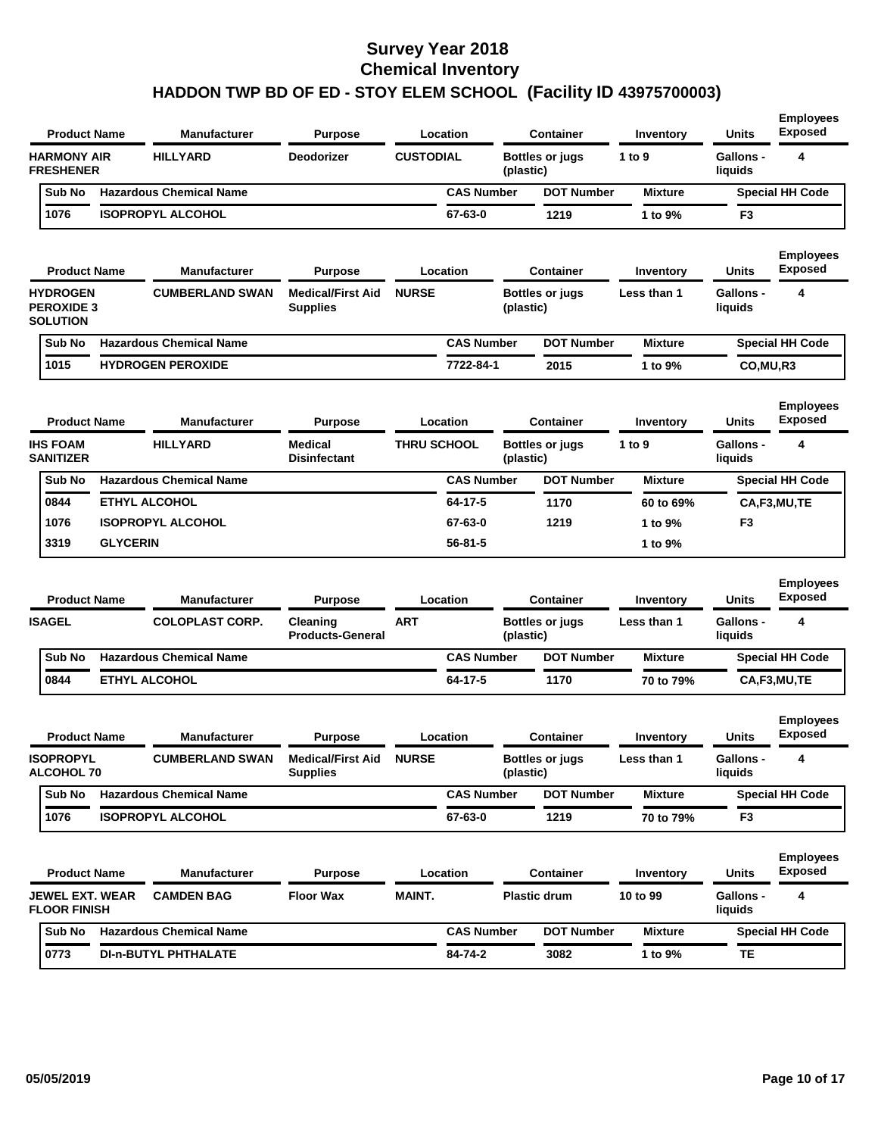| <b>Product Name</b>                                     |                 | <b>Manufacturer</b>            | <b>Purpose</b>                                    |                    | Location          |           | <b>Container</b>       | Inventory      | <b>Units</b>                | <b>Employees</b><br><b>Exposed</b> |
|---------------------------------------------------------|-----------------|--------------------------------|---------------------------------------------------|--------------------|-------------------|-----------|------------------------|----------------|-----------------------------|------------------------------------|
| <b>HARMONY AIR</b><br><b>FRESHENER</b>                  |                 | <b>HILLYARD</b>                | <b>Deodorizer</b>                                 | <b>CUSTODIAL</b>   |                   | (plastic) | <b>Bottles or jugs</b> | 1 to 9         | <b>Gallons -</b><br>liquids | 4                                  |
| Sub No                                                  |                 | <b>Hazardous Chemical Name</b> |                                                   |                    | <b>CAS Number</b> |           | <b>DOT Number</b>      | <b>Mixture</b> |                             | <b>Special HH Code</b>             |
| 1076                                                    |                 | <b>ISOPROPYL ALCOHOL</b>       |                                                   |                    | 67-63-0           |           | 1219                   | 1 to 9%        | F3                          |                                    |
| <b>Product Name</b>                                     |                 | <b>Manufacturer</b>            | <b>Purpose</b>                                    |                    | Location          |           | <b>Container</b>       | Inventory      | Units                       | <b>Employees</b><br><b>Exposed</b> |
| <b>HYDROGEN</b><br><b>PEROXIDE 3</b><br><b>SOLUTION</b> |                 | <b>CUMBERLAND SWAN</b>         | <b>Medical/First Aid</b><br><b>Supplies</b>       | <b>NURSE</b>       |                   | (plastic) | <b>Bottles or jugs</b> | Less than 1    | <b>Gallons -</b><br>liquids | 4                                  |
| Sub No                                                  |                 | <b>Hazardous Chemical Name</b> |                                                   |                    | <b>CAS Number</b> |           | <b>DOT Number</b>      | <b>Mixture</b> |                             | <b>Special HH Code</b>             |
| 1015                                                    |                 | <b>HYDROGEN PEROXIDE</b>       |                                                   |                    | 7722-84-1         |           | 2015                   | 1 to 9%        | CO, MU, R3                  |                                    |
| <b>Product Name</b>                                     |                 | <b>Manufacturer</b>            | <b>Purpose</b>                                    |                    | Location          |           | <b>Container</b>       | Inventory      | <b>Units</b>                | <b>Employees</b><br><b>Exposed</b> |
| <b>IHS FOAM</b><br><b>SANITIZER</b>                     |                 | <b>HILLYARD</b>                | <b>Medical</b><br><b>Disinfectant</b>             | <b>THRU SCHOOL</b> |                   | (plastic) | <b>Bottles or jugs</b> | 1 to $9$       | <b>Gallons -</b><br>liquids | 4                                  |
| Sub No                                                  |                 | <b>Hazardous Chemical Name</b> |                                                   |                    | <b>CAS Number</b> |           | <b>DOT Number</b>      | <b>Mixture</b> |                             | <b>Special HH Code</b>             |
| 0844                                                    |                 | <b>ETHYL ALCOHOL</b>           |                                                   |                    | 64-17-5           |           | 1170                   | 60 to 69%      |                             | CA,F3,MU,TE                        |
| 1076                                                    |                 | <b>ISOPROPYL ALCOHOL</b>       |                                                   |                    | 67-63-0           |           | 1219                   | 1 to 9%        | F3                          |                                    |
| 3319                                                    | <b>GLYCERIN</b> |                                |                                                   |                    | $56 - 81 - 5$     |           |                        | 1 to 9%        |                             |                                    |
| <b>Product Name</b>                                     |                 | <b>Manufacturer</b>            | <b>Purpose</b>                                    |                    | Location          |           | <b>Container</b>       | Inventory      | Units                       | <b>Employees</b><br><b>Exposed</b> |
| <b>ISAGEL</b>                                           |                 | <b>COLOPLAST CORP.</b>         | Cleaning<br><b>Products-General</b>               | <b>ART</b>         |                   | (plastic) | <b>Bottles or jugs</b> | Less than 1    | <b>Gallons -</b><br>liquids | 4                                  |
| Sub No                                                  |                 | <b>Hazardous Chemical Name</b> |                                                   |                    | <b>CAS Number</b> |           | <b>DOT Number</b>      | <b>Mixture</b> |                             | <b>Special HH Code</b>             |
| 0844                                                    |                 | <b>ETHYL ALCOHOL</b>           |                                                   |                    | 64-17-5           |           | 1170                   | 70 to 79%      |                             | CA,F3,MU,TE                        |
| <b>Product Name</b>                                     |                 | <b>Manufacturer</b>            | <b>Purpose</b>                                    |                    | Location          |           | <b>Container</b>       | Inventory      | Units                       | <b>Employees</b><br>Exposed        |
| <b>ISOPROPYL</b><br><b>ALCOHOL 70</b>                   |                 | <b>CUMBERLAND SWAN</b>         | <b>Medical/First Aid NURSE</b><br><b>Supplies</b> |                    |                   | (plastic) | <b>Bottles or jugs</b> | Less than 1    | Gallons -<br>liquids        |                                    |
| Sub No                                                  |                 | <b>Hazardous Chemical Name</b> |                                                   |                    | <b>CAS Number</b> |           | <b>DOT Number</b>      | <b>Mixture</b> |                             | <b>Special HH Code</b>             |
| 1076                                                    |                 | <b>ISOPROPYL ALCOHOL</b>       |                                                   |                    | 67-63-0           |           | 1219                   | 70 to 79%      | F3                          |                                    |
| <b>Product Name</b>                                     |                 | <b>Manufacturer</b>            | <b>Purpose</b>                                    |                    | Location          |           | <b>Container</b>       | Inventory      | Units                       | <b>Employees</b><br><b>Exposed</b> |
| <b>JEWEL EXT. WEAR</b><br><b>FLOOR FINISH</b>           |                 | <b>CAMDEN BAG</b>              | <b>Floor Wax</b>                                  | <b>MAINT.</b>      |                   |           | <b>Plastic drum</b>    | 10 to 99       | <b>Gallons -</b><br>liquids | 4                                  |
| Sub No                                                  |                 | <b>Hazardous Chemical Name</b> |                                                   |                    | <b>CAS Number</b> |           | <b>DOT Number</b>      | <b>Mixture</b> |                             | <b>Special HH Code</b>             |
| 0773                                                    |                 | <b>DI-n-BUTYL PHTHALATE</b>    |                                                   |                    | 84-74-2           |           | 3082                   | 1 to 9%        | <b>TE</b>                   |                                    |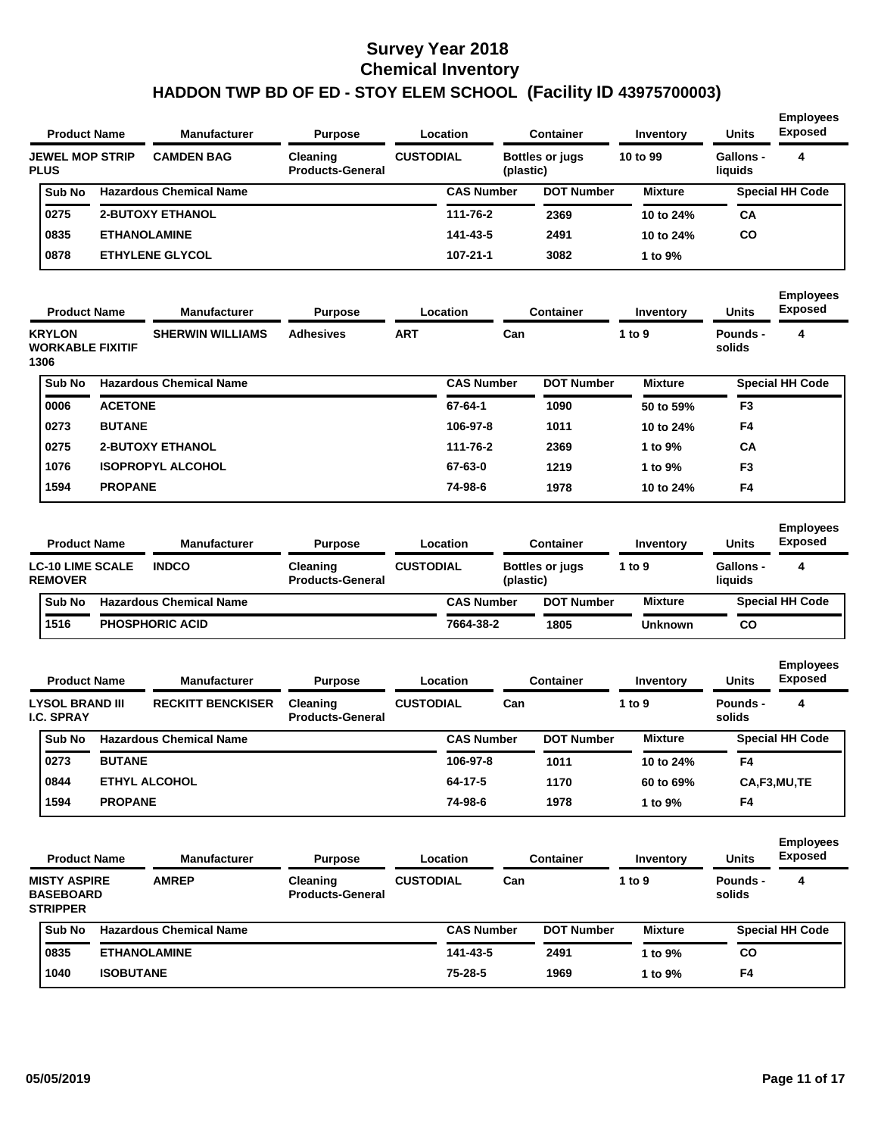|             | <b>Product Name</b>                                              |                  | <b>Manufacturer</b>                 | <b>Purpose</b>                                        |                  | Location          |           | Container                                  | Inventory                  | <b>Units</b>                                | <b>Employees</b><br><b>Exposed</b>      |
|-------------|------------------------------------------------------------------|------------------|-------------------------------------|-------------------------------------------------------|------------------|-------------------|-----------|--------------------------------------------|----------------------------|---------------------------------------------|-----------------------------------------|
| <b>PLUS</b> | <b>JEWEL MOP STRIP</b>                                           |                  | <b>CAMDEN BAG</b>                   | Cleaning<br><b>Products-General</b>                   | <b>CUSTODIAL</b> |                   | (plastic) | <b>Bottles or jugs</b>                     | 10 to 99                   | <b>Gallons -</b><br>liquids                 | 4                                       |
|             | Sub No                                                           |                  | <b>Hazardous Chemical Name</b>      |                                                       |                  | <b>CAS Number</b> |           | <b>DOT Number</b>                          | <b>Mixture</b>             |                                             | <b>Special HH Code</b>                  |
|             | 0275                                                             |                  | <b>2-BUTOXY ETHANOL</b>             |                                                       |                  | 111-76-2          |           | 2369                                       | 10 to 24%                  | <b>CA</b>                                   |                                         |
|             | 0835                                                             |                  | <b>ETHANOLAMINE</b>                 |                                                       |                  | 141-43-5          |           | 2491                                       | 10 to 24%                  | CO                                          |                                         |
|             | 0878                                                             |                  | <b>ETHYLENE GLYCOL</b>              |                                                       |                  | $107 - 21 - 1$    |           | 3082                                       | 1 to 9%                    |                                             |                                         |
|             | <b>Product Name</b>                                              |                  | <b>Manufacturer</b>                 | <b>Purpose</b>                                        |                  | Location          |           | <b>Container</b>                           | Inventory                  | <b>Units</b>                                | <b>Employees</b><br><b>Exposed</b>      |
| 1306        | <b>KRYLON</b><br><b>WORKABLE FIXITIF</b>                         |                  | <b>SHERWIN WILLIAMS</b>             | <b>Adhesives</b>                                      | <b>ART</b>       |                   | Can       |                                            | 1 to 9                     | Pounds -<br>solids                          | 4                                       |
|             | Sub No                                                           |                  | <b>Hazardous Chemical Name</b>      |                                                       |                  | <b>CAS Number</b> |           | <b>DOT Number</b>                          | <b>Mixture</b>             |                                             | <b>Special HH Code</b>                  |
|             | 0006                                                             | <b>ACETONE</b>   |                                     |                                                       |                  | 67-64-1           |           | 1090                                       | 50 to 59%                  | F <sub>3</sub>                              |                                         |
|             | 0273                                                             | <b>BUTANE</b>    |                                     |                                                       |                  | 106-97-8          |           | 1011                                       | 10 to 24%                  | F4                                          |                                         |
|             | 0275                                                             |                  | <b>2-BUTOXY ETHANOL</b>             |                                                       |                  | 111-76-2          |           | 2369                                       | 1 to 9%                    | СA                                          |                                         |
|             | 1076                                                             |                  | <b>ISOPROPYL ALCOHOL</b>            |                                                       |                  | 67-63-0           |           | 1219                                       | 1 to 9%                    | F3                                          |                                         |
|             | 1594                                                             | <b>PROPANE</b>   |                                     |                                                       |                  | 74-98-6           |           | 1978                                       | 10 to 24%                  | F4                                          |                                         |
|             | <b>Product Name</b><br><b>LC-10 LIME SCALE</b><br><b>REMOVER</b> |                  | <b>Manufacturer</b><br><b>INDCO</b> | <b>Purpose</b><br>Cleaning<br><b>Products-General</b> | <b>CUSTODIAL</b> | Location          | (plastic) | <b>Container</b><br><b>Bottles or jugs</b> | <b>Inventory</b><br>1 to 9 | <b>Units</b><br><b>Gallons -</b><br>liquids | <b>Employees</b><br><b>Exposed</b><br>4 |
|             | Sub No                                                           |                  | <b>Hazardous Chemical Name</b>      |                                                       |                  | <b>CAS Number</b> |           | <b>DOT Number</b>                          | <b>Mixture</b>             |                                             | <b>Special HH Code</b>                  |
|             | 1516                                                             |                  | <b>PHOSPHORIC ACID</b>              |                                                       |                  | 7664-38-2         |           | 1805                                       | Unknown                    | <b>CO</b>                                   |                                         |
|             | <b>Product Name</b>                                              |                  | <b>Manufacturer</b>                 | <b>Purpose</b>                                        |                  | Location          |           | <b>Container</b>                           | <b>Inventory</b>           | <b>Units</b>                                | <b>Employees</b><br><b>Exposed</b>      |
|             | <b>LYSOL BRAND III</b><br><b>I.C. SPRAY</b>                      |                  | <b>RECKITT BENCKISER</b>            | Cleaning<br><b>Products-General</b>                   | <b>CUSTODIAL</b> |                   | Can       |                                            | 1 to 9                     | <b>Pounds -</b><br>solids                   | 4                                       |
|             | Sub No                                                           |                  | <b>Hazardous Chemical Name</b>      |                                                       |                  | <b>CAS Number</b> |           | <b>DOT Number</b>                          | <b>Mixture</b>             |                                             | <b>Special HH Code</b>                  |
|             | 0273                                                             | <b>BUTANE</b>    |                                     |                                                       |                  | 106-97-8          |           | 1011                                       | 10 to 24%                  | F4                                          |                                         |
|             | 0844                                                             |                  | <b>ETHYL ALCOHOL</b>                |                                                       |                  | 64-17-5           |           | 1170                                       | 60 to 69%                  |                                             | CA,F3,MU,TE                             |
|             | 1594                                                             | <b>PROPANE</b>   |                                     |                                                       |                  | 74-98-6           |           | 1978                                       | 1 to 9%                    | F4                                          |                                         |
|             | <b>Product Name</b>                                              |                  | <b>Manufacturer</b>                 | <b>Purpose</b>                                        |                  | Location          |           | <b>Container</b>                           | Inventory                  | <b>Units</b>                                | <b>Employees</b><br><b>Exposed</b>      |
|             | <b>MISTY ASPIRE</b><br><b>BASEBOARD</b><br><b>STRIPPER</b>       |                  | <b>AMREP</b>                        | Cleaning<br><b>Products-General</b>                   | <b>CUSTODIAL</b> |                   | Can       |                                            | 1 to 9                     | Pounds -<br>solids                          | 4                                       |
|             | Sub No                                                           |                  | <b>Hazardous Chemical Name</b>      |                                                       |                  | <b>CAS Number</b> |           | <b>DOT Number</b>                          | <b>Mixture</b>             |                                             | <b>Special HH Code</b>                  |
|             | 0835                                                             |                  | <b>ETHANOLAMINE</b>                 |                                                       |                  | 141-43-5          |           | 2491                                       | 1 to 9%                    | CO                                          |                                         |
|             | 1040                                                             | <b>ISOBUTANE</b> |                                     |                                                       |                  | 75-28-5           |           | 1969                                       | 1 to 9%                    | F4                                          |                                         |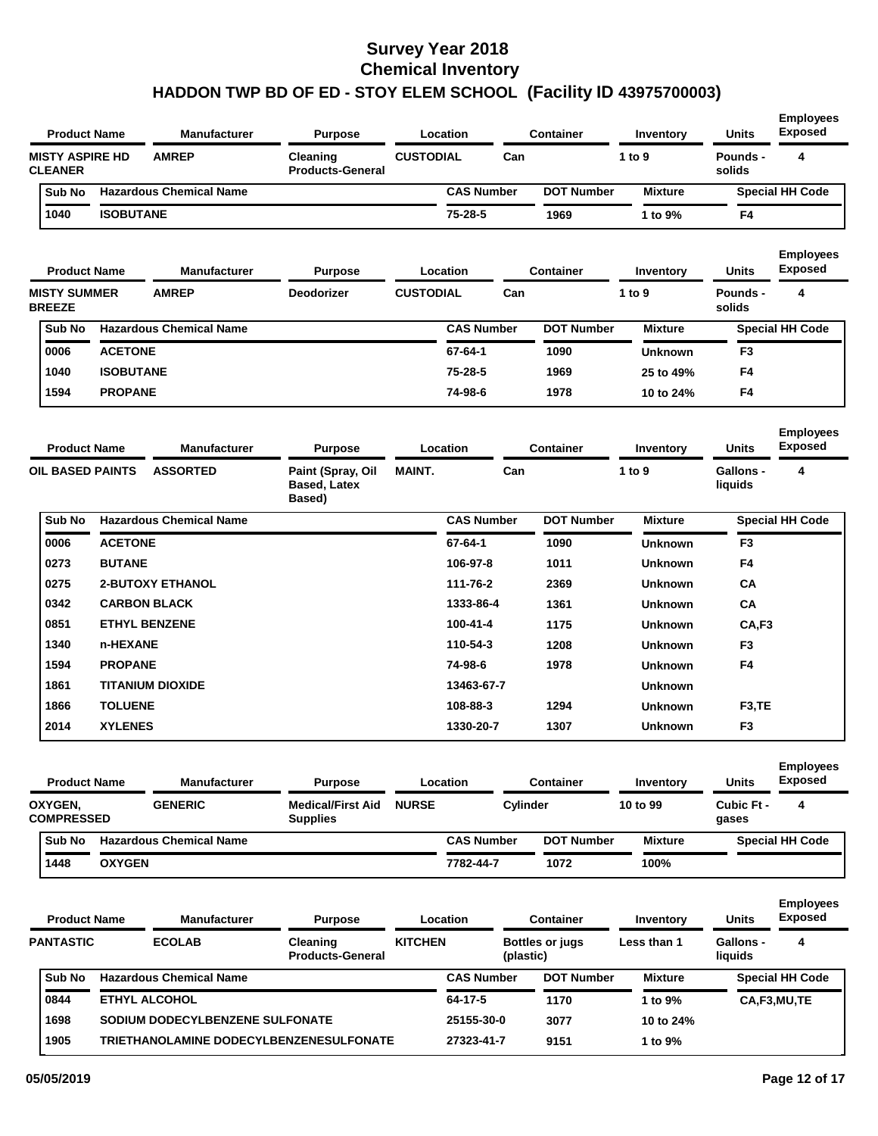| <b>Product Name</b>                      |                  | <b>Manufacturer</b>                     | <b>Purpose</b>                                     |                  | Location          |           | <b>Container</b>       | Inventory      | <b>Units</b>                | <b>Employees</b><br><b>Exposed</b> |
|------------------------------------------|------------------|-----------------------------------------|----------------------------------------------------|------------------|-------------------|-----------|------------------------|----------------|-----------------------------|------------------------------------|
| <b>MISTY ASPIRE HD</b><br><b>CLEANER</b> |                  | <b>AMREP</b>                            | Cleaning<br><b>Products-General</b>                | <b>CUSTODIAL</b> |                   | Can       |                        | 1 to 9         | Pounds -<br>solids          | 4                                  |
| Sub No                                   |                  | <b>Hazardous Chemical Name</b>          |                                                    |                  | <b>CAS Number</b> |           | <b>DOT Number</b>      | <b>Mixture</b> |                             | <b>Special HH Code</b>             |
| 1040                                     | <b>ISOBUTANE</b> |                                         |                                                    |                  | 75-28-5           |           | 1969                   | 1 to 9%        | F4                          |                                    |
| <b>Product Name</b>                      |                  | <b>Manufacturer</b>                     | <b>Purpose</b>                                     |                  | Location          |           | Container              | Inventory      | <b>Units</b>                | <b>Employees</b><br><b>Exposed</b> |
| <b>MISTY SUMMER</b><br><b>BREEZE</b>     |                  | <b>AMREP</b>                            | <b>Deodorizer</b>                                  | <b>CUSTODIAL</b> |                   | Can       |                        | 1 to 9         | Pounds -<br>solids          | 4                                  |
| Sub No                                   |                  | <b>Hazardous Chemical Name</b>          |                                                    |                  | <b>CAS Number</b> |           | <b>DOT Number</b>      | <b>Mixture</b> |                             | <b>Special HH Code</b>             |
| 0006                                     | <b>ACETONE</b>   |                                         |                                                    |                  | 67-64-1           |           | 1090                   | <b>Unknown</b> | F3                          |                                    |
| 1040                                     | <b>ISOBUTANE</b> |                                         |                                                    |                  | 75-28-5           |           | 1969                   | 25 to 49%      | F4                          |                                    |
| 1594                                     | <b>PROPANE</b>   |                                         |                                                    |                  | 74-98-6           |           | 1978                   | 10 to 24%      | F4                          |                                    |
| <b>Product Name</b>                      |                  | <b>Manufacturer</b>                     | <b>Purpose</b>                                     |                  | Location          |           | <b>Container</b>       | Inventory      | <b>Units</b>                | <b>Employees</b><br><b>Exposed</b> |
| <b>OIL BASED PAINTS</b>                  |                  | <b>ASSORTED</b>                         | Paint (Spray, Oil<br><b>Based, Latex</b><br>Based) | <b>MAINT.</b>    |                   | Can       |                        | 1 to 9         | <b>Gallons -</b><br>liquids | 4                                  |
| Sub No                                   |                  | <b>Hazardous Chemical Name</b>          |                                                    |                  | <b>CAS Number</b> |           | <b>DOT Number</b>      | <b>Mixture</b> |                             | <b>Special HH Code</b>             |
| 0006                                     | <b>ACETONE</b>   |                                         |                                                    |                  | 67-64-1           |           | 1090                   | <b>Unknown</b> | F <sub>3</sub>              |                                    |
| 0273                                     | <b>BUTANE</b>    |                                         |                                                    |                  | 106-97-8          |           | 1011                   | <b>Unknown</b> | F4                          |                                    |
| 0275                                     |                  | <b>2-BUTOXY ETHANOL</b>                 |                                                    |                  | 111-76-2          |           | 2369                   | <b>Unknown</b> | СA                          |                                    |
| 0342                                     |                  | <b>CARBON BLACK</b>                     |                                                    |                  | 1333-86-4         |           | 1361                   | <b>Unknown</b> | CA                          |                                    |
| 0851                                     |                  | <b>ETHYL BENZENE</b>                    |                                                    |                  | 100-41-4          |           | 1175                   | <b>Unknown</b> | CA,F3                       |                                    |
| 1340                                     | n-HEXANE         |                                         |                                                    |                  | 110-54-3          |           | 1208                   | <b>Unknown</b> | F <sub>3</sub>              |                                    |
| 1594                                     | <b>PROPANE</b>   |                                         |                                                    |                  | 74-98-6           |           | 1978                   | <b>Unknown</b> | F4                          |                                    |
| 1861                                     |                  | <b>TITANIUM DIOXIDE</b>                 |                                                    |                  | 13463-67-7        |           |                        | <b>Unknown</b> |                             |                                    |
| 1866                                     | <b>TOLUENE</b>   |                                         |                                                    |                  | 108-88-3          |           | 1294                   | <b>Unknown</b> | F <sub>3</sub> ,TE          |                                    |
| 2014                                     | <b>XYLENES</b>   |                                         |                                                    |                  | 1330-20-7         |           | 1307                   | <b>Unknown</b> | F3                          |                                    |
| <b>Product Name</b>                      |                  | <b>Manufacturer</b>                     | <b>Purpose</b>                                     |                  | Location          |           | <b>Container</b>       | Inventory      | <b>Units</b>                | <b>Employees</b><br><b>Exposed</b> |
| OXYGEN,<br><b>COMPRESSED</b>             |                  | <b>GENERIC</b>                          | <b>Medical/First Aid</b><br><b>Supplies</b>        | <b>NURSE</b>     |                   | Cylinder  |                        | 10 to 99       | Cubic Ft -<br>gases         | 4                                  |
| Sub No                                   |                  | <b>Hazardous Chemical Name</b>          |                                                    |                  | <b>CAS Number</b> |           | <b>DOT Number</b>      | <b>Mixture</b> |                             | <b>Special HH Code</b>             |
| 1448                                     | <b>OXYGEN</b>    |                                         |                                                    |                  | 7782-44-7         |           | 1072                   | 100%           |                             |                                    |
| <b>Product Name</b>                      |                  | <b>Manufacturer</b>                     | <b>Purpose</b>                                     |                  | Location          |           | <b>Container</b>       | Inventory      | <b>Units</b>                | <b>Employees</b><br><b>Exposed</b> |
| <b>PANTASTIC</b>                         |                  | <b>ECOLAB</b>                           | Cleaning<br><b>Products-General</b>                | <b>KITCHEN</b>   |                   | (plastic) | <b>Bottles or jugs</b> | Less than 1    | <b>Gallons -</b><br>liquids | 4                                  |
| Sub No                                   |                  | <b>Hazardous Chemical Name</b>          |                                                    |                  | <b>CAS Number</b> |           | <b>DOT Number</b>      | <b>Mixture</b> |                             | <b>Special HH Code</b>             |
| 0844                                     |                  | ETHYL ALCOHOL                           |                                                    |                  | 64-17-5           |           | 1170                   | 1 to 9%        |                             | CA,F3,MU,TE                        |
| 1698                                     |                  | SODIUM DODECYLBENZENE SULFONATE         |                                                    |                  | 25155-30-0        |           | 3077                   | 10 to 24%      |                             |                                    |
| 1905                                     |                  | TRIETHANOLAMINE DODECYLBENZENESULFONATE |                                                    |                  | 27323-41-7        |           | 9151                   | 1 to 9%        |                             |                                    |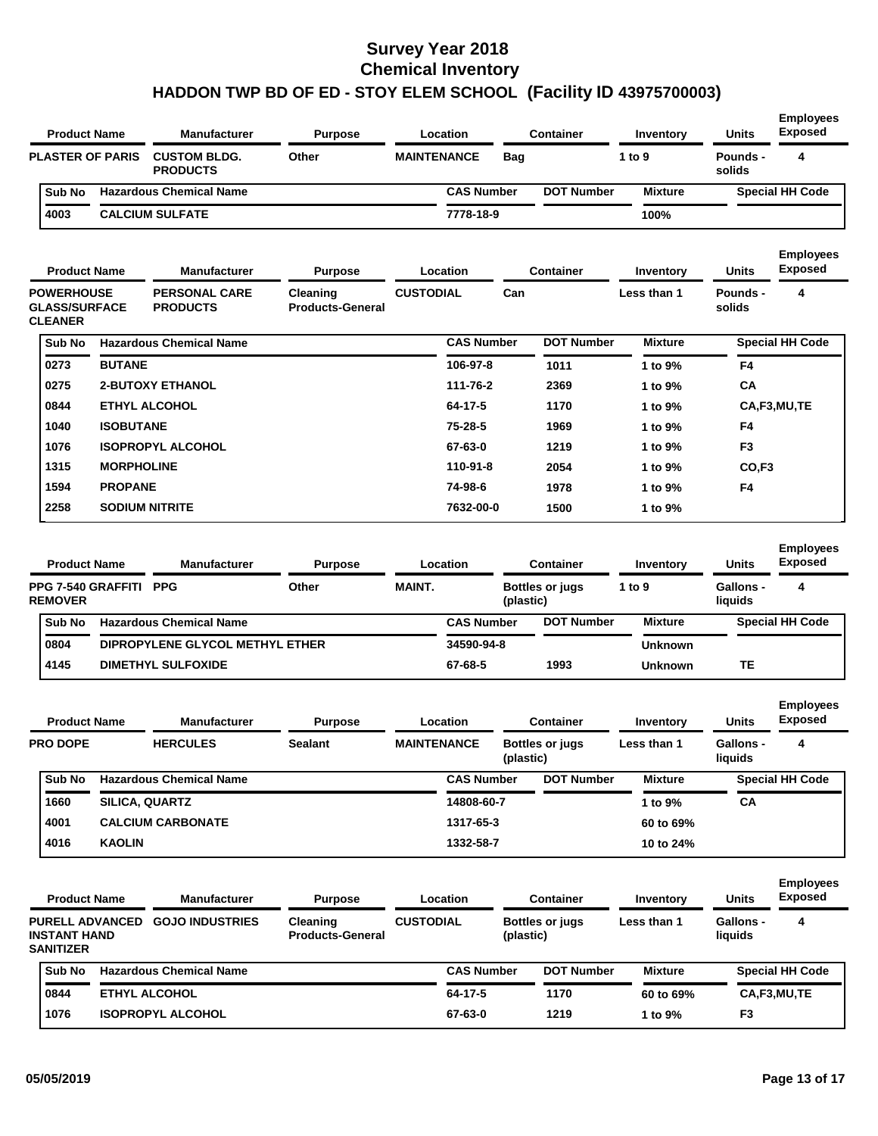| <b>CUSTOM BLDG.</b><br>Other<br><b>MAINTENANCE</b><br>4<br><b>PLASTER OF PARIS</b><br><b>Bag</b><br>1 to 9<br><b>Pounds -</b><br><b>PRODUCTS</b><br>solids<br>Sub No<br><b>Hazardous Chemical Name</b><br><b>CAS Number</b><br><b>DOT Number</b><br><b>Mixture</b><br><b>Special HH Code</b><br>4003<br><b>CALCIUM SULFATE</b><br>7778-18-9<br>100%<br><b>Employees</b><br><b>Exposed</b><br><b>Product Name</b><br><b>Manufacturer</b><br>Location<br><b>Container</b><br><b>Units</b><br><b>Purpose</b><br>Inventory<br><b>POWERHOUSE</b><br><b>PERSONAL CARE</b><br><b>CUSTODIAL</b><br>Can<br>Less than 1<br>4<br>Cleaning<br>Pounds -<br><b>GLASS/SURFACE</b><br><b>PRODUCTS</b><br><b>Products-General</b><br>solids<br><b>CLEANER</b><br>Sub No<br><b>Hazardous Chemical Name</b><br><b>CAS Number</b><br><b>DOT Number</b><br><b>Special HH Code</b><br><b>Mixture</b><br>0273<br><b>BUTANE</b><br>106-97-8<br>1011<br>F4<br>1 to 9%<br>0275<br><b>2-BUTOXY ETHANOL</b><br>111-76-2<br>2369<br>СA<br>1 to 9%<br>0844<br><b>ETHYL ALCOHOL</b><br>64-17-5<br>1170<br>1 to 9%<br>CA,F3,MU,TE<br>1040<br><b>ISOBUTANE</b><br>75-28-5<br>1969<br>1 to 9%<br>F4<br>1076<br><b>ISOPROPYL ALCOHOL</b><br>67-63-0<br>1219<br>1 to 9%<br>F <sub>3</sub><br>1315<br><b>MORPHOLINE</b><br>110-91-8<br>2054<br>CO,F <sub>3</sub><br>1 to 9%<br>1594<br><b>PROPANE</b><br>74-98-6<br>1978<br>F4<br>1 to 9%<br>2258<br><b>SODIUM NITRITE</b><br>7632-00-0<br>1500<br>1 to 9%<br><b>Employees</b><br><b>Exposed</b><br><b>Product Name</b><br><b>Manufacturer</b><br>Location<br><b>Container</b><br><b>Units</b><br><b>Purpose</b><br>Inventory<br><b>MAINT.</b><br>4<br>PPG 7-540 GRAFFITI PPG<br>Other<br>1 to 9<br><b>Gallons -</b><br><b>Bottles or jugs</b><br><b>REMOVER</b><br>(plastic)<br>liquids<br>Sub No<br><b>Hazardous Chemical Name</b><br><b>CAS Number</b><br><b>DOT Number</b><br><b>Special HH Code</b><br><b>Mixture</b><br>0804<br>DIPROPYLENE GLYCOL METHYL ETHER<br>34590-94-8<br><b>Unknown</b><br>4145<br><b>DIMETHYL SULFOXIDE</b><br>67-68-5<br><b>TE</b><br>1993<br><b>Unknown</b><br><b>Employees</b><br><b>Exposed</b><br><b>Product Name</b><br><b>Manufacturer</b><br><b>Units</b><br><b>Purpose</b><br>Location<br>Container<br>Inventory<br><b>PRO DOPE</b><br><b>HERCULES</b><br><b>MAINTENANCE</b><br>4<br>Sealant<br><b>Bottles or jugs</b><br>Less than 1<br><b>Gallons -</b><br>(plastic)<br>liquids<br>Sub No<br><b>Hazardous Chemical Name</b><br><b>CAS Number</b><br><b>DOT Number</b><br><b>Mixture</b><br><b>Special HH Code</b><br>1660<br>SILICA, QUARTZ<br>CA<br>14808-60-7<br>1 to 9%<br>4001<br><b>CALCIUM CARBONATE</b><br>1317-65-3<br>60 to 69%<br>4016<br><b>KAOLIN</b><br>1332-58-7<br>10 to 24%<br><b>Employees</b><br><b>Exposed</b><br><b>Product Name</b><br><b>Manufacturer</b><br>Location<br><b>Container</b><br><b>Units</b><br><b>Purpose</b><br>Inventory<br><b>PURELL ADVANCED</b><br><b>GOJO INDUSTRIES</b><br><b>CUSTODIAL</b><br><b>Bottles or jugs</b><br>Less than 1<br><b>Gallons -</b><br>4<br>Cleaning<br><b>INSTANT HAND</b><br><b>Products-General</b><br>liquids<br>(plastic)<br><b>SANITIZER</b><br>Sub No<br><b>Hazardous Chemical Name</b><br><b>CAS Number</b><br><b>DOT Number</b><br><b>Mixture</b><br><b>Special HH Code</b><br><b>ETHYL ALCOHOL</b><br>64-17-5<br>0844<br>1170<br>CA,F3,MU,TE<br>60 to 69%<br>1076<br><b>ISOPROPYL ALCOHOL</b><br>67-63-0<br>1219<br>F <sub>3</sub><br>1 to 9% | <b>Product Name</b> | <b>Manufacturer</b> | <b>Purpose</b> | Location | <b>Container</b> | Inventory | <b>Units</b> | <b>Employees</b><br><b>Exposed</b> |
|------------------------------------------------------------------------------------------------------------------------------------------------------------------------------------------------------------------------------------------------------------------------------------------------------------------------------------------------------------------------------------------------------------------------------------------------------------------------------------------------------------------------------------------------------------------------------------------------------------------------------------------------------------------------------------------------------------------------------------------------------------------------------------------------------------------------------------------------------------------------------------------------------------------------------------------------------------------------------------------------------------------------------------------------------------------------------------------------------------------------------------------------------------------------------------------------------------------------------------------------------------------------------------------------------------------------------------------------------------------------------------------------------------------------------------------------------------------------------------------------------------------------------------------------------------------------------------------------------------------------------------------------------------------------------------------------------------------------------------------------------------------------------------------------------------------------------------------------------------------------------------------------------------------------------------------------------------------------------------------------------------------------------------------------------------------------------------------------------------------------------------------------------------------------------------------------------------------------------------------------------------------------------------------------------------------------------------------------------------------------------------------------------------------------------------------------------------------------------------------------------------------------------------------------------------------------------------------------------------------------------------------------------------------------------------------------------------------------------------------------------------------------------------------------------------------------------------------------------------------------------------------------------------------------------------------------------------------------------------------------------------------------------------------------------------------------------------------------------------------------------------------------------------------------------------------------------------------------------------------------------------------------------------------------------------------------------------------------------------------------------------------------------------------------------------------------------------------------------|---------------------|---------------------|----------------|----------|------------------|-----------|--------------|------------------------------------|
|                                                                                                                                                                                                                                                                                                                                                                                                                                                                                                                                                                                                                                                                                                                                                                                                                                                                                                                                                                                                                                                                                                                                                                                                                                                                                                                                                                                                                                                                                                                                                                                                                                                                                                                                                                                                                                                                                                                                                                                                                                                                                                                                                                                                                                                                                                                                                                                                                                                                                                                                                                                                                                                                                                                                                                                                                                                                                                                                                                                                                                                                                                                                                                                                                                                                                                                                                                                                                                                                              |                     |                     |                |          |                  |           |              |                                    |
|                                                                                                                                                                                                                                                                                                                                                                                                                                                                                                                                                                                                                                                                                                                                                                                                                                                                                                                                                                                                                                                                                                                                                                                                                                                                                                                                                                                                                                                                                                                                                                                                                                                                                                                                                                                                                                                                                                                                                                                                                                                                                                                                                                                                                                                                                                                                                                                                                                                                                                                                                                                                                                                                                                                                                                                                                                                                                                                                                                                                                                                                                                                                                                                                                                                                                                                                                                                                                                                                              |                     |                     |                |          |                  |           |              |                                    |
|                                                                                                                                                                                                                                                                                                                                                                                                                                                                                                                                                                                                                                                                                                                                                                                                                                                                                                                                                                                                                                                                                                                                                                                                                                                                                                                                                                                                                                                                                                                                                                                                                                                                                                                                                                                                                                                                                                                                                                                                                                                                                                                                                                                                                                                                                                                                                                                                                                                                                                                                                                                                                                                                                                                                                                                                                                                                                                                                                                                                                                                                                                                                                                                                                                                                                                                                                                                                                                                                              |                     |                     |                |          |                  |           |              |                                    |
|                                                                                                                                                                                                                                                                                                                                                                                                                                                                                                                                                                                                                                                                                                                                                                                                                                                                                                                                                                                                                                                                                                                                                                                                                                                                                                                                                                                                                                                                                                                                                                                                                                                                                                                                                                                                                                                                                                                                                                                                                                                                                                                                                                                                                                                                                                                                                                                                                                                                                                                                                                                                                                                                                                                                                                                                                                                                                                                                                                                                                                                                                                                                                                                                                                                                                                                                                                                                                                                                              |                     |                     |                |          |                  |           |              |                                    |
|                                                                                                                                                                                                                                                                                                                                                                                                                                                                                                                                                                                                                                                                                                                                                                                                                                                                                                                                                                                                                                                                                                                                                                                                                                                                                                                                                                                                                                                                                                                                                                                                                                                                                                                                                                                                                                                                                                                                                                                                                                                                                                                                                                                                                                                                                                                                                                                                                                                                                                                                                                                                                                                                                                                                                                                                                                                                                                                                                                                                                                                                                                                                                                                                                                                                                                                                                                                                                                                                              |                     |                     |                |          |                  |           |              |                                    |
|                                                                                                                                                                                                                                                                                                                                                                                                                                                                                                                                                                                                                                                                                                                                                                                                                                                                                                                                                                                                                                                                                                                                                                                                                                                                                                                                                                                                                                                                                                                                                                                                                                                                                                                                                                                                                                                                                                                                                                                                                                                                                                                                                                                                                                                                                                                                                                                                                                                                                                                                                                                                                                                                                                                                                                                                                                                                                                                                                                                                                                                                                                                                                                                                                                                                                                                                                                                                                                                                              |                     |                     |                |          |                  |           |              |                                    |
|                                                                                                                                                                                                                                                                                                                                                                                                                                                                                                                                                                                                                                                                                                                                                                                                                                                                                                                                                                                                                                                                                                                                                                                                                                                                                                                                                                                                                                                                                                                                                                                                                                                                                                                                                                                                                                                                                                                                                                                                                                                                                                                                                                                                                                                                                                                                                                                                                                                                                                                                                                                                                                                                                                                                                                                                                                                                                                                                                                                                                                                                                                                                                                                                                                                                                                                                                                                                                                                                              |                     |                     |                |          |                  |           |              |                                    |
|                                                                                                                                                                                                                                                                                                                                                                                                                                                                                                                                                                                                                                                                                                                                                                                                                                                                                                                                                                                                                                                                                                                                                                                                                                                                                                                                                                                                                                                                                                                                                                                                                                                                                                                                                                                                                                                                                                                                                                                                                                                                                                                                                                                                                                                                                                                                                                                                                                                                                                                                                                                                                                                                                                                                                                                                                                                                                                                                                                                                                                                                                                                                                                                                                                                                                                                                                                                                                                                                              |                     |                     |                |          |                  |           |              |                                    |
|                                                                                                                                                                                                                                                                                                                                                                                                                                                                                                                                                                                                                                                                                                                                                                                                                                                                                                                                                                                                                                                                                                                                                                                                                                                                                                                                                                                                                                                                                                                                                                                                                                                                                                                                                                                                                                                                                                                                                                                                                                                                                                                                                                                                                                                                                                                                                                                                                                                                                                                                                                                                                                                                                                                                                                                                                                                                                                                                                                                                                                                                                                                                                                                                                                                                                                                                                                                                                                                                              |                     |                     |                |          |                  |           |              |                                    |
|                                                                                                                                                                                                                                                                                                                                                                                                                                                                                                                                                                                                                                                                                                                                                                                                                                                                                                                                                                                                                                                                                                                                                                                                                                                                                                                                                                                                                                                                                                                                                                                                                                                                                                                                                                                                                                                                                                                                                                                                                                                                                                                                                                                                                                                                                                                                                                                                                                                                                                                                                                                                                                                                                                                                                                                                                                                                                                                                                                                                                                                                                                                                                                                                                                                                                                                                                                                                                                                                              |                     |                     |                |          |                  |           |              |                                    |
|                                                                                                                                                                                                                                                                                                                                                                                                                                                                                                                                                                                                                                                                                                                                                                                                                                                                                                                                                                                                                                                                                                                                                                                                                                                                                                                                                                                                                                                                                                                                                                                                                                                                                                                                                                                                                                                                                                                                                                                                                                                                                                                                                                                                                                                                                                                                                                                                                                                                                                                                                                                                                                                                                                                                                                                                                                                                                                                                                                                                                                                                                                                                                                                                                                                                                                                                                                                                                                                                              |                     |                     |                |          |                  |           |              |                                    |
|                                                                                                                                                                                                                                                                                                                                                                                                                                                                                                                                                                                                                                                                                                                                                                                                                                                                                                                                                                                                                                                                                                                                                                                                                                                                                                                                                                                                                                                                                                                                                                                                                                                                                                                                                                                                                                                                                                                                                                                                                                                                                                                                                                                                                                                                                                                                                                                                                                                                                                                                                                                                                                                                                                                                                                                                                                                                                                                                                                                                                                                                                                                                                                                                                                                                                                                                                                                                                                                                              |                     |                     |                |          |                  |           |              |                                    |
|                                                                                                                                                                                                                                                                                                                                                                                                                                                                                                                                                                                                                                                                                                                                                                                                                                                                                                                                                                                                                                                                                                                                                                                                                                                                                                                                                                                                                                                                                                                                                                                                                                                                                                                                                                                                                                                                                                                                                                                                                                                                                                                                                                                                                                                                                                                                                                                                                                                                                                                                                                                                                                                                                                                                                                                                                                                                                                                                                                                                                                                                                                                                                                                                                                                                                                                                                                                                                                                                              |                     |                     |                |          |                  |           |              |                                    |
|                                                                                                                                                                                                                                                                                                                                                                                                                                                                                                                                                                                                                                                                                                                                                                                                                                                                                                                                                                                                                                                                                                                                                                                                                                                                                                                                                                                                                                                                                                                                                                                                                                                                                                                                                                                                                                                                                                                                                                                                                                                                                                                                                                                                                                                                                                                                                                                                                                                                                                                                                                                                                                                                                                                                                                                                                                                                                                                                                                                                                                                                                                                                                                                                                                                                                                                                                                                                                                                                              |                     |                     |                |          |                  |           |              |                                    |
|                                                                                                                                                                                                                                                                                                                                                                                                                                                                                                                                                                                                                                                                                                                                                                                                                                                                                                                                                                                                                                                                                                                                                                                                                                                                                                                                                                                                                                                                                                                                                                                                                                                                                                                                                                                                                                                                                                                                                                                                                                                                                                                                                                                                                                                                                                                                                                                                                                                                                                                                                                                                                                                                                                                                                                                                                                                                                                                                                                                                                                                                                                                                                                                                                                                                                                                                                                                                                                                                              |                     |                     |                |          |                  |           |              |                                    |
|                                                                                                                                                                                                                                                                                                                                                                                                                                                                                                                                                                                                                                                                                                                                                                                                                                                                                                                                                                                                                                                                                                                                                                                                                                                                                                                                                                                                                                                                                                                                                                                                                                                                                                                                                                                                                                                                                                                                                                                                                                                                                                                                                                                                                                                                                                                                                                                                                                                                                                                                                                                                                                                                                                                                                                                                                                                                                                                                                                                                                                                                                                                                                                                                                                                                                                                                                                                                                                                                              |                     |                     |                |          |                  |           |              |                                    |
|                                                                                                                                                                                                                                                                                                                                                                                                                                                                                                                                                                                                                                                                                                                                                                                                                                                                                                                                                                                                                                                                                                                                                                                                                                                                                                                                                                                                                                                                                                                                                                                                                                                                                                                                                                                                                                                                                                                                                                                                                                                                                                                                                                                                                                                                                                                                                                                                                                                                                                                                                                                                                                                                                                                                                                                                                                                                                                                                                                                                                                                                                                                                                                                                                                                                                                                                                                                                                                                                              |                     |                     |                |          |                  |           |              |                                    |
|                                                                                                                                                                                                                                                                                                                                                                                                                                                                                                                                                                                                                                                                                                                                                                                                                                                                                                                                                                                                                                                                                                                                                                                                                                                                                                                                                                                                                                                                                                                                                                                                                                                                                                                                                                                                                                                                                                                                                                                                                                                                                                                                                                                                                                                                                                                                                                                                                                                                                                                                                                                                                                                                                                                                                                                                                                                                                                                                                                                                                                                                                                                                                                                                                                                                                                                                                                                                                                                                              |                     |                     |                |          |                  |           |              |                                    |
|                                                                                                                                                                                                                                                                                                                                                                                                                                                                                                                                                                                                                                                                                                                                                                                                                                                                                                                                                                                                                                                                                                                                                                                                                                                                                                                                                                                                                                                                                                                                                                                                                                                                                                                                                                                                                                                                                                                                                                                                                                                                                                                                                                                                                                                                                                                                                                                                                                                                                                                                                                                                                                                                                                                                                                                                                                                                                                                                                                                                                                                                                                                                                                                                                                                                                                                                                                                                                                                                              |                     |                     |                |          |                  |           |              |                                    |
|                                                                                                                                                                                                                                                                                                                                                                                                                                                                                                                                                                                                                                                                                                                                                                                                                                                                                                                                                                                                                                                                                                                                                                                                                                                                                                                                                                                                                                                                                                                                                                                                                                                                                                                                                                                                                                                                                                                                                                                                                                                                                                                                                                                                                                                                                                                                                                                                                                                                                                                                                                                                                                                                                                                                                                                                                                                                                                                                                                                                                                                                                                                                                                                                                                                                                                                                                                                                                                                                              |                     |                     |                |          |                  |           |              |                                    |
|                                                                                                                                                                                                                                                                                                                                                                                                                                                                                                                                                                                                                                                                                                                                                                                                                                                                                                                                                                                                                                                                                                                                                                                                                                                                                                                                                                                                                                                                                                                                                                                                                                                                                                                                                                                                                                                                                                                                                                                                                                                                                                                                                                                                                                                                                                                                                                                                                                                                                                                                                                                                                                                                                                                                                                                                                                                                                                                                                                                                                                                                                                                                                                                                                                                                                                                                                                                                                                                                              |                     |                     |                |          |                  |           |              |                                    |
|                                                                                                                                                                                                                                                                                                                                                                                                                                                                                                                                                                                                                                                                                                                                                                                                                                                                                                                                                                                                                                                                                                                                                                                                                                                                                                                                                                                                                                                                                                                                                                                                                                                                                                                                                                                                                                                                                                                                                                                                                                                                                                                                                                                                                                                                                                                                                                                                                                                                                                                                                                                                                                                                                                                                                                                                                                                                                                                                                                                                                                                                                                                                                                                                                                                                                                                                                                                                                                                                              |                     |                     |                |          |                  |           |              |                                    |
|                                                                                                                                                                                                                                                                                                                                                                                                                                                                                                                                                                                                                                                                                                                                                                                                                                                                                                                                                                                                                                                                                                                                                                                                                                                                                                                                                                                                                                                                                                                                                                                                                                                                                                                                                                                                                                                                                                                                                                                                                                                                                                                                                                                                                                                                                                                                                                                                                                                                                                                                                                                                                                                                                                                                                                                                                                                                                                                                                                                                                                                                                                                                                                                                                                                                                                                                                                                                                                                                              |                     |                     |                |          |                  |           |              |                                    |
|                                                                                                                                                                                                                                                                                                                                                                                                                                                                                                                                                                                                                                                                                                                                                                                                                                                                                                                                                                                                                                                                                                                                                                                                                                                                                                                                                                                                                                                                                                                                                                                                                                                                                                                                                                                                                                                                                                                                                                                                                                                                                                                                                                                                                                                                                                                                                                                                                                                                                                                                                                                                                                                                                                                                                                                                                                                                                                                                                                                                                                                                                                                                                                                                                                                                                                                                                                                                                                                                              |                     |                     |                |          |                  |           |              |                                    |
|                                                                                                                                                                                                                                                                                                                                                                                                                                                                                                                                                                                                                                                                                                                                                                                                                                                                                                                                                                                                                                                                                                                                                                                                                                                                                                                                                                                                                                                                                                                                                                                                                                                                                                                                                                                                                                                                                                                                                                                                                                                                                                                                                                                                                                                                                                                                                                                                                                                                                                                                                                                                                                                                                                                                                                                                                                                                                                                                                                                                                                                                                                                                                                                                                                                                                                                                                                                                                                                                              |                     |                     |                |          |                  |           |              |                                    |
|                                                                                                                                                                                                                                                                                                                                                                                                                                                                                                                                                                                                                                                                                                                                                                                                                                                                                                                                                                                                                                                                                                                                                                                                                                                                                                                                                                                                                                                                                                                                                                                                                                                                                                                                                                                                                                                                                                                                                                                                                                                                                                                                                                                                                                                                                                                                                                                                                                                                                                                                                                                                                                                                                                                                                                                                                                                                                                                                                                                                                                                                                                                                                                                                                                                                                                                                                                                                                                                                              |                     |                     |                |          |                  |           |              |                                    |
|                                                                                                                                                                                                                                                                                                                                                                                                                                                                                                                                                                                                                                                                                                                                                                                                                                                                                                                                                                                                                                                                                                                                                                                                                                                                                                                                                                                                                                                                                                                                                                                                                                                                                                                                                                                                                                                                                                                                                                                                                                                                                                                                                                                                                                                                                                                                                                                                                                                                                                                                                                                                                                                                                                                                                                                                                                                                                                                                                                                                                                                                                                                                                                                                                                                                                                                                                                                                                                                                              |                     |                     |                |          |                  |           |              |                                    |
|                                                                                                                                                                                                                                                                                                                                                                                                                                                                                                                                                                                                                                                                                                                                                                                                                                                                                                                                                                                                                                                                                                                                                                                                                                                                                                                                                                                                                                                                                                                                                                                                                                                                                                                                                                                                                                                                                                                                                                                                                                                                                                                                                                                                                                                                                                                                                                                                                                                                                                                                                                                                                                                                                                                                                                                                                                                                                                                                                                                                                                                                                                                                                                                                                                                                                                                                                                                                                                                                              |                     |                     |                |          |                  |           |              |                                    |
|                                                                                                                                                                                                                                                                                                                                                                                                                                                                                                                                                                                                                                                                                                                                                                                                                                                                                                                                                                                                                                                                                                                                                                                                                                                                                                                                                                                                                                                                                                                                                                                                                                                                                                                                                                                                                                                                                                                                                                                                                                                                                                                                                                                                                                                                                                                                                                                                                                                                                                                                                                                                                                                                                                                                                                                                                                                                                                                                                                                                                                                                                                                                                                                                                                                                                                                                                                                                                                                                              |                     |                     |                |          |                  |           |              |                                    |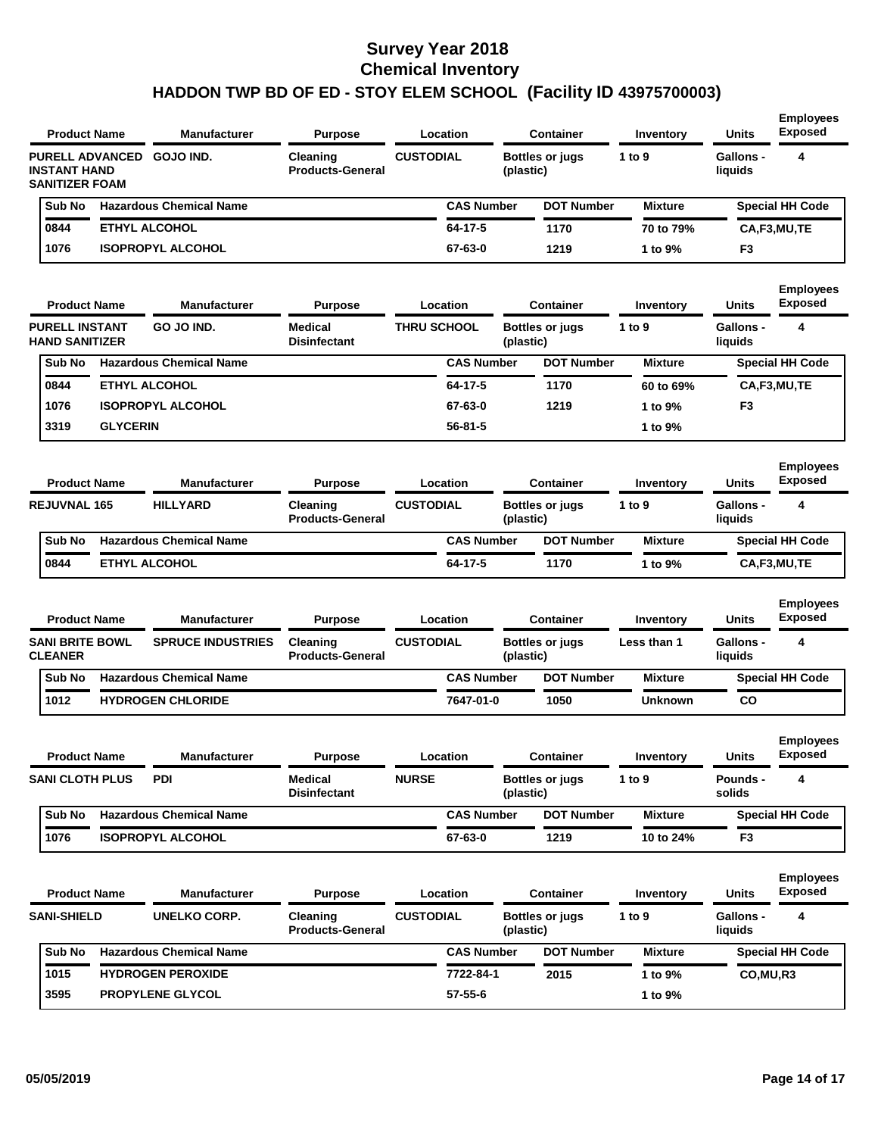| <b>Product Name</b><br><b>PURELL ADVANCED</b><br><b>INSTANT HAND</b> |                     | <b>Manufacturer</b>            | <b>Purpose</b>                        |                    | Location          |           | Container              | Inventory      | <b>Units</b>                | <b>Employees</b><br><b>Exposed</b> |
|----------------------------------------------------------------------|---------------------|--------------------------------|---------------------------------------|--------------------|-------------------|-----------|------------------------|----------------|-----------------------------|------------------------------------|
| <b>SANITIZER FOAM</b>                                                |                     | GOJO IND.                      | Cleaning<br><b>Products-General</b>   | <b>CUSTODIAL</b>   |                   | (plastic) | Bottles or jugs        | 1 to 9         | Gallons -<br>liquids        | 4                                  |
| Sub No                                                               |                     | <b>Hazardous Chemical Name</b> |                                       |                    | <b>CAS Number</b> |           | <b>DOT Number</b>      | <b>Mixture</b> |                             | <b>Special HH Code</b>             |
| 0844                                                                 |                     | <b>ETHYL ALCOHOL</b>           |                                       |                    | 64-17-5           |           | 1170                   | 70 to 79%      |                             | CA,F3,MU,TE                        |
| 1076                                                                 |                     | <b>ISOPROPYL ALCOHOL</b>       |                                       |                    | 67-63-0           |           | 1219                   | 1 to 9%        | F <sub>3</sub>              |                                    |
| <b>Product Name</b>                                                  |                     | <b>Manufacturer</b>            | <b>Purpose</b>                        |                    | Location          |           | <b>Container</b>       | Inventory      | Units                       | <b>Employees</b><br><b>Exposed</b> |
| <b>PURELL INSTANT</b><br><b>HAND SANITIZER</b>                       |                     | GO JO IND.                     | <b>Medical</b><br><b>Disinfectant</b> | <b>THRU SCHOOL</b> |                   | (plastic) | Bottles or jugs        | 1 to 9         | <b>Gallons -</b><br>liquids | 4                                  |
| Sub No                                                               |                     | <b>Hazardous Chemical Name</b> |                                       |                    | <b>CAS Number</b> |           | <b>DOT Number</b>      | <b>Mixture</b> |                             | <b>Special HH Code</b>             |
| 0844                                                                 |                     | <b>ETHYL ALCOHOL</b>           |                                       |                    | 64-17-5           |           | 1170                   | 60 to 69%      |                             | CA,F3,MU,TE                        |
| 1076                                                                 |                     | <b>ISOPROPYL ALCOHOL</b>       |                                       |                    | 67-63-0           |           | 1219                   | 1 to 9%        | F <sub>3</sub>              |                                    |
| 3319                                                                 | <b>GLYCERIN</b>     |                                |                                       |                    | $56 - 81 - 5$     |           |                        | 1 to 9%        |                             |                                    |
| <b>Product Name</b>                                                  |                     | <b>Manufacturer</b>            | <b>Purpose</b>                        |                    | Location          |           | <b>Container</b>       | Inventory      | Units                       | <b>Employees</b><br><b>Exposed</b> |
| <b>REJUVNAL 165</b>                                                  |                     | <b>HILLYARD</b>                | Cleaning<br><b>Products-General</b>   | <b>CUSTODIAL</b>   |                   | (plastic) | <b>Bottles or jugs</b> | 1 to 9         | <b>Gallons -</b><br>liquids | 4                                  |
| Sub No                                                               |                     | <b>Hazardous Chemical Name</b> |                                       |                    | <b>CAS Number</b> |           | <b>DOT Number</b>      | <b>Mixture</b> |                             | <b>Special HH Code</b>             |
| 0844                                                                 |                     | <b>ETHYL ALCOHOL</b>           |                                       |                    | 64-17-5           |           | 1170                   | 1 to 9%        |                             | CA,F3,MU,TE                        |
| <b>Product Name</b>                                                  |                     | <b>Manufacturer</b>            | <b>Purpose</b>                        |                    | Location          |           | <b>Container</b>       | Inventory      | Units                       | <b>Employees</b><br><b>Exposed</b> |
| <b>SANI BRITE BOWL</b><br><b>CLEANER</b>                             |                     | <b>SPRUCE INDUSTRIES</b>       | Cleaning<br><b>Products-General</b>   | <b>CUSTODIAL</b>   |                   | (plastic) | <b>Bottles or jugs</b> | Less than 1    | <b>Gallons -</b><br>liquids | 4                                  |
| Sub No                                                               |                     | <b>Hazardous Chemical Name</b> |                                       |                    | <b>CAS Number</b> |           | <b>DOT Number</b>      | <b>Mixture</b> |                             | <b>Special HH Code</b>             |
| 1012                                                                 |                     | <b>HYDROGEN CHLORIDE</b>       |                                       |                    | 7647-01-0         |           | 1050                   | <b>Unknown</b> | co                          |                                    |
|                                                                      | <b>Product Name</b> | <b>Manufacturer</b>            | Purpose                               |                    | Location          |           | <b>Container</b>       | Inventory      | Units                       | <b>Employees</b><br>Exposea        |
| <b>SANI CLOTH PLUS</b>                                               |                     | <b>PDI</b>                     | <b>Medical</b><br><b>Disinfectant</b> | <b>NURSE</b>       |                   | (plastic) | <b>Bottles or jugs</b> | 1 to 9         | Pounds -<br>solids          | 4                                  |
| Sub No                                                               |                     | <b>Hazardous Chemical Name</b> |                                       |                    | <b>CAS Number</b> |           | <b>DOT Number</b>      | <b>Mixture</b> |                             | <b>Special HH Code</b>             |
| 1076                                                                 |                     | <b>ISOPROPYL ALCOHOL</b>       |                                       |                    | 67-63-0           |           | 1219                   | 10 to 24%      | F <sub>3</sub>              |                                    |
| <b>Product Name</b>                                                  |                     | <b>Manufacturer</b>            | <b>Purpose</b>                        |                    | Location          |           | <b>Container</b>       | Inventory      | Units                       | <b>Employees</b><br><b>Exposed</b> |
| <b>SANI-SHIELD</b>                                                   |                     | <b>UNELKO CORP.</b>            | Cleaning<br><b>Products-General</b>   | <b>CUSTODIAL</b>   |                   | (plastic) | Bottles or jugs        | 1 to 9         | Gallons -<br>liquids        | 4                                  |
| Sub No                                                               |                     | <b>Hazardous Chemical Name</b> |                                       |                    | <b>CAS Number</b> |           | <b>DOT Number</b>      | <b>Mixture</b> |                             | <b>Special HH Code</b>             |
| 1015                                                                 |                     | <b>HYDROGEN PEROXIDE</b>       |                                       |                    | 7722-84-1         |           | 2015                   | 1 to 9%        | CO, MU, R3                  |                                    |
| 3595                                                                 |                     | <b>PROPYLENE GLYCOL</b>        |                                       |                    | $57 - 55 - 6$     |           |                        | 1 to 9%        |                             |                                    |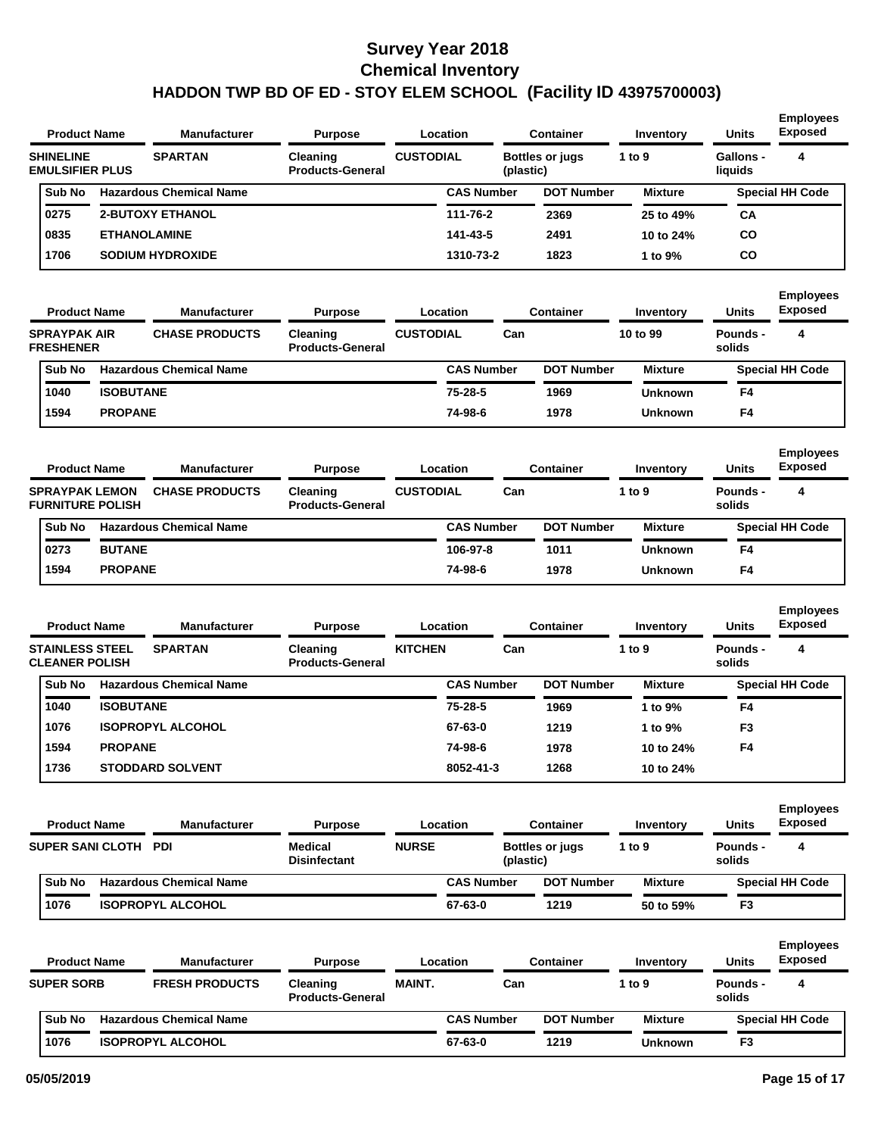#### **Survey Year 2018 Chemical Inventory**

# **HADDON TWP BD OF ED - STOY ELEM SCHOOL (Facility ID 43975700003)**

| <b>Product Name</b>                              |                     | Manufacturer                   | <b>Purpose</b>                        |                  | Location          |           | <b>Container</b>       | Inventory           | <b>Units</b>              | <b>Employees</b><br><b>Exposed</b> |
|--------------------------------------------------|---------------------|--------------------------------|---------------------------------------|------------------|-------------------|-----------|------------------------|---------------------|---------------------------|------------------------------------|
| <b>SHINELINE</b><br><b>EMULSIFIER PLUS</b>       |                     | <b>SPARTAN</b>                 | Cleaning<br><b>Products-General</b>   | <b>CUSTODIAL</b> |                   | (plastic) | <b>Bottles or jugs</b> | 1 to 9              | Gallons -<br>liquids      | 4                                  |
| Sub No                                           |                     | <b>Hazardous Chemical Name</b> |                                       |                  | <b>CAS Number</b> |           | <b>DOT Number</b>      | <b>Mixture</b>      |                           | <b>Special HH Code</b>             |
| 0275                                             |                     | <b>2-BUTOXY ETHANOL</b>        |                                       |                  | 111-76-2          |           | 2369                   | 25 to 49%           | СA                        |                                    |
| 0835                                             | <b>ETHANOLAMINE</b> |                                |                                       |                  | 141-43-5          |           | 2491                   | 10 to 24%           | CO                        |                                    |
| 1706                                             |                     | <b>SODIUM HYDROXIDE</b>        |                                       |                  | 1310-73-2         |           | 1823                   | 1 to 9%             | CO                        |                                    |
|                                                  |                     |                                |                                       |                  |                   |           |                        |                     |                           |                                    |
|                                                  |                     |                                |                                       |                  |                   |           |                        |                     |                           | <b>Employees</b>                   |
| <b>Product Name</b>                              |                     | Manufacturer                   | <b>Purpose</b>                        |                  | Location          |           | <b>Container</b>       | Inventory           | Units                     | <b>Exposed</b>                     |
| <b>SPRAYPAK AIR</b><br><b>FRESHENER</b>          |                     | <b>CHASE PRODUCTS</b>          | Cleaning<br><b>Products-General</b>   | <b>CUSTODIAL</b> |                   | Can       |                        | 10 to 99            | <b>Pounds -</b><br>solids | 4                                  |
| Sub No                                           |                     | <b>Hazardous Chemical Name</b> |                                       |                  | <b>CAS Number</b> |           | <b>DOT Number</b>      | <b>Mixture</b>      |                           | <b>Special HH Code</b>             |
| 1040                                             | <b>ISOBUTANE</b>    |                                |                                       |                  | 75-28-5           |           | 1969                   | <b>Unknown</b>      | F4                        |                                    |
| 1594                                             | <b>PROPANE</b>      |                                |                                       |                  | 74-98-6           |           | 1978                   | <b>Unknown</b>      | F4                        |                                    |
|                                                  |                     |                                |                                       |                  |                   |           |                        |                     |                           |                                    |
|                                                  |                     |                                |                                       |                  |                   |           |                        |                     |                           | <b>Employees</b><br><b>Exposed</b> |
| <b>Product Name</b>                              |                     | Manufacturer                   | <b>Purpose</b>                        |                  | Location          |           | <b>Container</b>       | Inventory           | <b>Units</b>              |                                    |
| <b>SPRAYPAK LEMON</b><br><b>FURNITURE POLISH</b> |                     | <b>CHASE PRODUCTS</b>          | Cleaning<br><b>Products-General</b>   | <b>CUSTODIAL</b> |                   | Can       |                        | 1 to 9              | Pounds -<br>solids        | 4                                  |
| Sub No                                           |                     | <b>Hazardous Chemical Name</b> |                                       |                  | <b>CAS Number</b> |           | <b>DOT Number</b>      | <b>Mixture</b>      |                           | <b>Special HH Code</b>             |
| 0273                                             | <b>BUTANE</b>       |                                |                                       |                  | 106-97-8          |           | 1011                   | <b>Unknown</b>      | F4                        |                                    |
| 1594                                             | <b>PROPANE</b>      |                                |                                       |                  | 74-98-6           |           | 1978                   | <b>Unknown</b>      | F4                        |                                    |
|                                                  |                     |                                |                                       |                  |                   |           |                        |                     |                           |                                    |
| <b>Product Name</b>                              |                     | <b>Manufacturer</b>            | <b>Purpose</b>                        |                  | Location          |           | <b>Container</b>       |                     | <b>Units</b>              | <b>Employees</b><br><b>Exposed</b> |
| <b>STAINLESS STEEL</b>                           |                     | <b>SPARTAN</b>                 |                                       | <b>KITCHEN</b>   |                   | Can       |                        | Inventory<br>1 to 9 | <b>Pounds -</b>           | 4                                  |
| <b>CLEANER POLISH</b>                            |                     |                                | Cleaning<br><b>Products-General</b>   |                  |                   |           |                        |                     | solids                    |                                    |
| Sub No                                           |                     | <b>Hazardous Chemical Name</b> |                                       |                  | <b>CAS Number</b> |           | <b>DOT Number</b>      | <b>Mixture</b>      |                           | <b>Special HH Code</b>             |
| 1040                                             | <b>ISOBUTANE</b>    |                                |                                       |                  | 75-28-5           |           | 1969                   | 1 to 9%             | F4                        |                                    |
| 1076                                             |                     | <b>ISOPROPYL ALCOHOL</b>       |                                       |                  | 67-63-0           |           | 1219                   | 1 to 9%             | F <sub>3</sub>            |                                    |
| 1594                                             | <b>PROPANE</b>      |                                |                                       |                  | 74-98-6           |           | 1978                   | 10 to 24%           | F <sub>4</sub>            |                                    |
| 1736                                             |                     | <b>STODDARD SOLVENT</b>        |                                       |                  | 8052-41-3         |           | 1268                   | 10 to 24%           |                           |                                    |
|                                                  |                     |                                |                                       |                  |                   |           |                        |                     |                           |                                    |
|                                                  |                     | <b>Manufacturer</b>            |                                       |                  |                   |           |                        |                     |                           | <b>Employees</b><br><b>Exposed</b> |
| <b>Product Name</b>                              |                     |                                | <b>Purpose</b>                        |                  | Location          |           | <b>Container</b>       | Inventory           | Units                     |                                    |
| SUPER SANI CLOTH PDI                             |                     |                                | <b>Medical</b><br><b>Disinfectant</b> | <b>NURSE</b>     |                   | (plastic) | <b>Bottles or jugs</b> | 1 to $9$            | Pounds -<br>solids        | 4                                  |
| Sub No                                           |                     | <b>Hazardous Chemical Name</b> |                                       |                  | <b>CAS Number</b> |           | <b>DOT Number</b>      | <b>Mixture</b>      |                           | <b>Special HH Code</b>             |
| 1076                                             |                     | <b>ISOPROPYL ALCOHOL</b>       |                                       |                  | 67-63-0           |           | 1219                   | 50 to 59%           | F <sub>3</sub>            |                                    |
|                                                  |                     |                                |                                       |                  |                   |           |                        |                     |                           |                                    |
| <b>Product Name</b>                              |                     | <b>Manufacturer</b>            | <b>Purpose</b>                        |                  | Location          |           | <b>Container</b>       | Inventory           | Units                     | <b>Employees</b><br><b>Exposed</b> |
| <b>SUPER SORB</b>                                |                     | <b>FRESH PRODUCTS</b>          | Cleaning                              | <b>MAINT.</b>    |                   | Can       |                        | 1 to $9$            | Pounds -                  | 4                                  |
|                                                  |                     |                                | <b>Products-General</b>               |                  |                   |           |                        |                     | solids                    |                                    |
| Sub No                                           |                     | <b>Hazardous Chemical Name</b> |                                       |                  | <b>CAS Number</b> |           | <b>DOT Number</b>      | <b>Mixture</b>      |                           | <b>Special HH Code</b>             |
| 1076                                             |                     | <b>ISOPROPYL ALCOHOL</b>       |                                       |                  | 67-63-0           |           | 1219                   | <b>Unknown</b>      | F <sub>3</sub>            |                                    |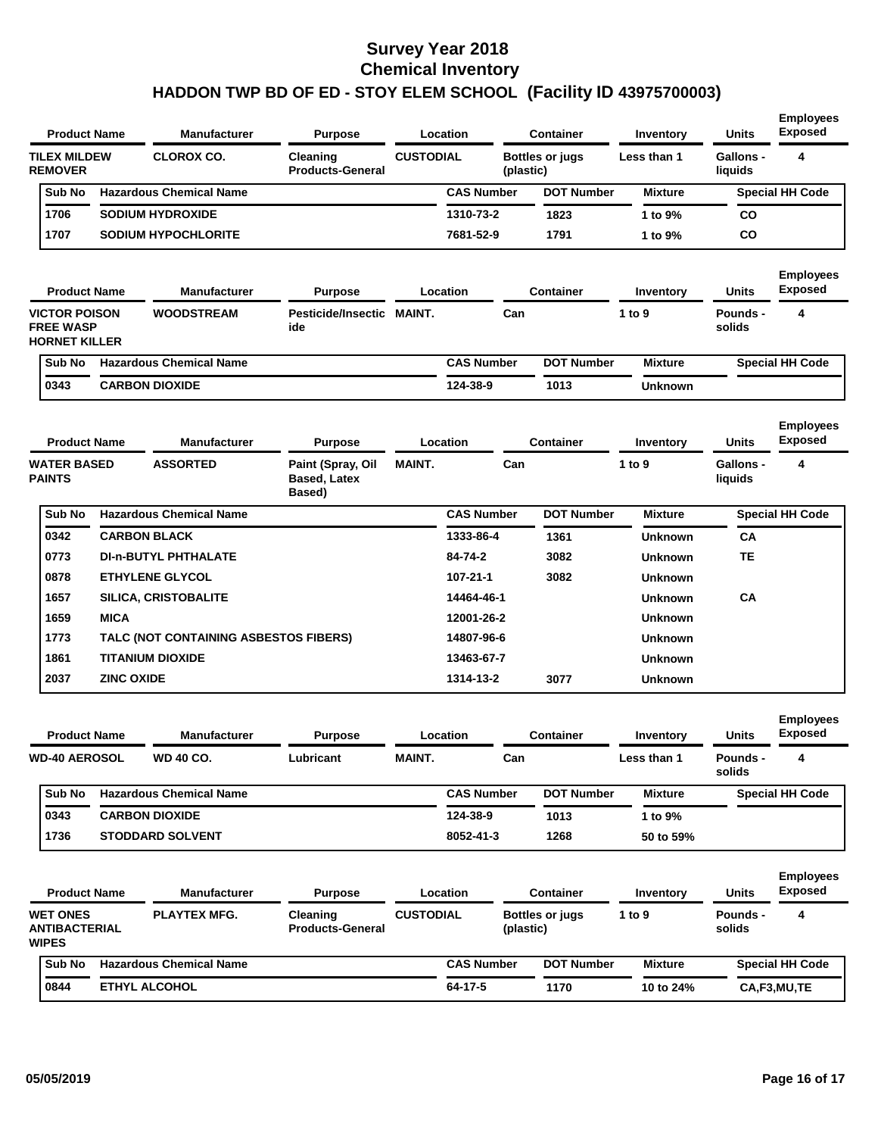| <b>Product Name</b>                                              | <b>Manufacturer</b>            | <b>Purpose</b>                             |                  | Location          |           | <b>Container</b>       | Inventory      | <b>Units</b>         | <b>Employees</b><br><b>Exposed</b> |
|------------------------------------------------------------------|--------------------------------|--------------------------------------------|------------------|-------------------|-----------|------------------------|----------------|----------------------|------------------------------------|
| <b>TILEX MILDEW</b><br><b>REMOVER</b>                            | <b>CLOROX CO.</b>              | <b>Cleaning</b><br><b>Products-General</b> | <b>CUSTODIAL</b> |                   | (plastic) | <b>Bottles or jugs</b> | Less than 1    | Gallons -<br>liquids | 4                                  |
| Sub No                                                           | <b>Hazardous Chemical Name</b> |                                            |                  | <b>CAS Number</b> |           | <b>DOT Number</b>      | <b>Mixture</b> |                      | <b>Special HH Code</b>             |
| 1706                                                             | <b>SODIUM HYDROXIDE</b>        |                                            |                  | 1310-73-2         |           | 1823                   | 1 to 9%        | CO                   |                                    |
| 1707                                                             | <b>SODIUM HYPOCHLORITE</b>     |                                            |                  | 7681-52-9         |           | 1791                   | 1 to 9%        | <b>CO</b>            |                                    |
| <b>Product Name</b>                                              | <b>Manufacturer</b>            | <b>Purpose</b>                             |                  | Location          |           | Container              | Inventory      | <b>Units</b>         | <b>Employees</b><br><b>Exposed</b> |
| <b>VICTOR POISON</b><br><b>FREE WASP</b><br><b>HORNET KILLER</b> | <b>WOODSTREAM</b>              | Pesticide/Insectic<br>ide                  | <b>MAINT.</b>    |                   | Can       |                        | 1 to $9$       | Pounds -<br>solids   | 4                                  |
| Sub No                                                           | <b>Hazardous Chemical Name</b> |                                            |                  | <b>CAS Number</b> |           | <b>DOT Number</b>      | <b>Mixture</b> |                      | <b>Special HH Code</b>             |
| 0343                                                             | <b>CARBON DIOXIDE</b>          |                                            |                  | 124-38-9          |           | 1013                   | Unknown        |                      |                                    |

|        |                       | <b>Manufacturer</b>                       | <b>Purpose</b>                                                                                                                                                                                |                                       |                   | <b>Container</b> | Inventory      | <b>Units</b>         | <b>Employees</b><br><b>Exposed</b> |
|--------|-----------------------|-------------------------------------------|-----------------------------------------------------------------------------------------------------------------------------------------------------------------------------------------------|---------------------------------------|-------------------|------------------|----------------|----------------------|------------------------------------|
|        |                       | <b>ASSORTED</b>                           | Paint (Spray, Oil<br><b>Based, Latex</b><br>Based)                                                                                                                                            | <b>MAINT.</b>                         |                   |                  | 1 to 9         | Gallons -<br>liquids | 4                                  |
| Sub No |                       |                                           |                                                                                                                                                                                               |                                       | <b>CAS Number</b> |                  | <b>Mixture</b> |                      | <b>Special HH Code</b>             |
| 0342   |                       |                                           |                                                                                                                                                                                               |                                       | 1333-86-4         | 1361             | Unknown        | <b>CA</b>            |                                    |
|        |                       |                                           |                                                                                                                                                                                               |                                       | 84-74-2           | 3082             | <b>Unknown</b> | <b>TE</b>            |                                    |
| 0878   |                       |                                           |                                                                                                                                                                                               |                                       | $107 - 21 - 1$    | 3082             | <b>Unknown</b> |                      |                                    |
| 1657   |                       |                                           |                                                                                                                                                                                               |                                       | 14464-46-1        |                  | <b>Unknown</b> | <b>CA</b>            |                                    |
| 1659   | <b>MICA</b>           |                                           |                                                                                                                                                                                               |                                       | 12001-26-2        |                  | <b>Unknown</b> |                      |                                    |
| 1773   |                       |                                           |                                                                                                                                                                                               |                                       | 14807-96-6        |                  | <b>Unknown</b> |                      |                                    |
| 1861   |                       |                                           |                                                                                                                                                                                               |                                       | 13463-67-7        |                  | <b>Unknown</b> |                      |                                    |
| 2037   |                       |                                           |                                                                                                                                                                                               |                                       | 1314-13-2         | 3077             | <b>Unknown</b> |                      |                                    |
|        | <b>PAINTS</b><br>0773 | <b>Product Name</b><br><b>WATER BASED</b> | <b>Hazardous Chemical Name</b><br><b>CARBON BLACK</b><br><b>DI-n-BUTYL PHTHALATE</b><br><b>ETHYLENE GLYCOL</b><br><b>SILICA, CRISTOBALITE</b><br><b>TITANIUM DIOXIDE</b><br><b>ZINC OXIDE</b> | TALC (NOT CONTAINING ASBESTOS FIBERS) |                   | Location         | Can            | <b>DOT Number</b>    |                                    |

| <b>Product Name</b> | <b>Manufacturer</b>            | <b>Purpose</b> |               | Location          | <b>Container</b>  | Inventory      | <b>Units</b>       | <b>Employees</b><br><b>Exposed</b> |  |
|---------------------|--------------------------------|----------------|---------------|-------------------|-------------------|----------------|--------------------|------------------------------------|--|
| WD-40 AEROSOL       | <b>WD 40 CO.</b>               | Lubricant      | <b>MAINT.</b> | Can               |                   | Less than 1    | Pounds -<br>solids | 4                                  |  |
| Sub No              | <b>Hazardous Chemical Name</b> |                |               | <b>CAS Number</b> | <b>DOT Number</b> | <b>Mixture</b> |                    | <b>Special HH Code</b>             |  |
| 0343                | <b>CARBON DIOXIDE</b>          |                |               | 124-38-9          | 1013              | 1 to 9%        |                    |                                    |  |
| 1736                | <b>STODDARD SOLVENT</b>        |                |               | 8052-41-3         | 1268              | 50 to 59%      |                    |                                    |  |

| <b>Product Name</b>                                     | <b>Manufacturer</b>            | <b>Purpose</b>                             | Location         |                   | Container              | Inventory      | <b>Units</b>       | <b>Employees</b><br><b>Exposed</b> |
|---------------------------------------------------------|--------------------------------|--------------------------------------------|------------------|-------------------|------------------------|----------------|--------------------|------------------------------------|
| <b>WET ONES</b><br><b>ANTIBACTERIAL</b><br><b>WIPES</b> | <b>PLAYTEX MFG.</b>            | <b>Cleaning</b><br><b>Products-General</b> | <b>CUSTODIAL</b> | (plastic)         | <b>Bottles or jugs</b> | 1 to $9$       | Pounds -<br>solids | 4                                  |
| <b>Sub No</b>                                           | <b>Hazardous Chemical Name</b> |                                            |                  | <b>CAS Number</b> | <b>DOT Number</b>      | <b>Mixture</b> |                    | <b>Special HH Code</b>             |
| 0844                                                    | <b>ETHYL ALCOHOL</b>           |                                            |                  | 64-17-5           | 1170                   | 10 to 24%      |                    | CA,F3,MU,TE                        |